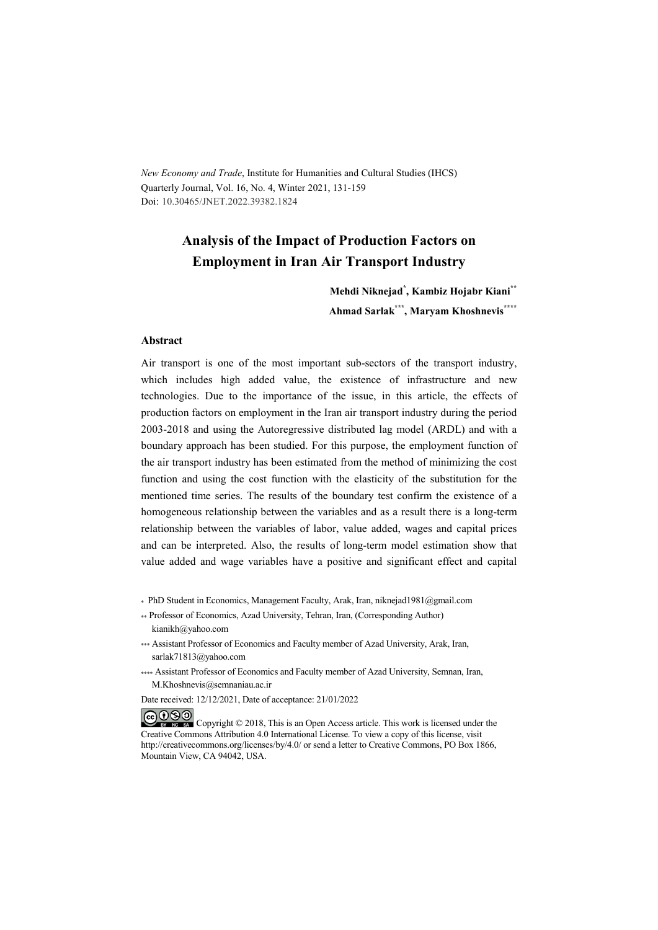*New Economy and Trade*, Institute for Humanities and Cultural Studies (IHCS) Quarterly Journal, Vol. 16, No. 4, Winter 2021, 131-159 Doi: 10.30465/JNET.2022.39382.1824

## **Analysis of the Impact of Production Factors on Employment in Iran Air Transport Industry**

**Mehdi Niknejad\* , Kambiz Hojabr Kiani\*\* Ahmad Sarlak\*\*\* , Maryam Khoshnevis\*\*\*\***

#### **Abstract**

Air transport is one of the most important sub-sectors of the transport industry, which includes high added value, the existence of infrastructure and new technologies. Due to the importance of the issue, in this article, the effects of production factors on employment in the Iran air transport industry during the period 2003-2018 and using the Autoregressive distributed lag model (ARDL) and with a boundary approach has been studied. For this purpose, the employment function of the air transport industry has been estimated from the method of minimizing the cost function and using the cost function with the elasticity of the substitution for the mentioned time series. The results of the boundary test confirm the existence of a homogeneous relationship between the variables and as a result there is a long-term relationship between the variables of labor, value added, wages and capital prices and can be interpreted. Also, the results of long-term model estimation show that value added and wage variables have a positive and significant effect and capital

\* PhD Student in Economics, Management Faculty, Arak, Iran, niknejad1981@gmail.com

- \*\* Professor of Economics, Azad University, Tehran, Iran, (Corresponding Author) kianikh@yahoo.com
- \*\*\* Assistant Professor of Economics and Faculty member of Azad University, Arak, Iran, sarlak71813@yahoo.com
- \*\*\*\* Assistant Professor of Economics and Faculty member of Azad University, Semnan, Iran, M.Khoshnevis@semnaniau.ac.ir

Date received: 12/12/2021, Date of acceptance: 21/01/2022

COOO Copyright © 2018, This is an Open Access article. This work is licensed under the Creative Commons Attribution 4.0 International License. To view a copy of this license, visit http://creativecommons.org/licenses/by/4.0/ or send a letter to Creative Commons, PO Box 1866, Mountain View, CA 94042, USA.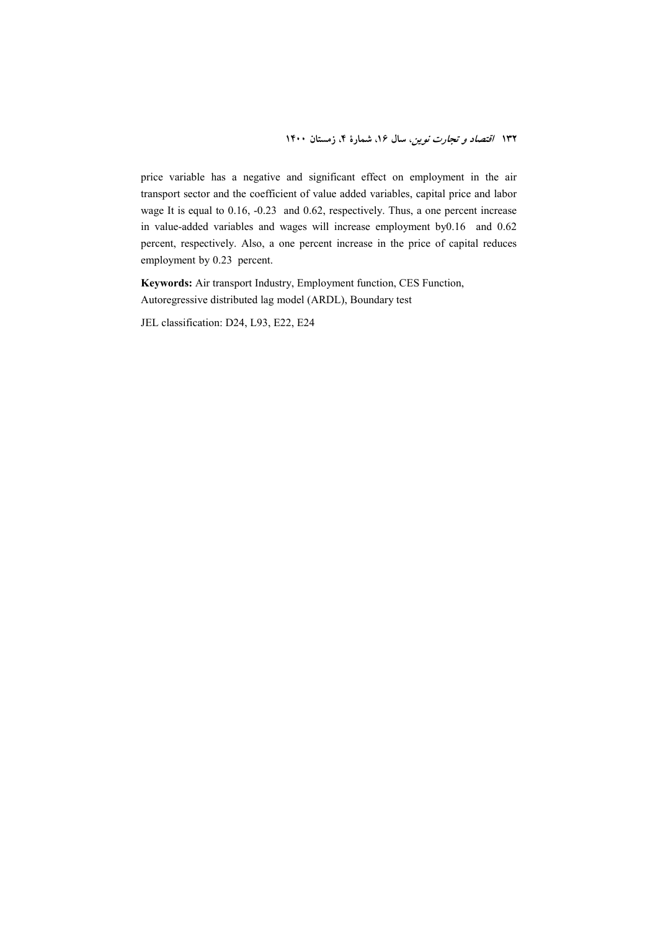price variable has a negative and significant effect on employment in the air transport sector and the coefficient of value added variables, capital price and labor wage It is equal to 0.16, -0.23 and 0.62, respectively. Thus, a one percent increase in value-added variables and wages will increase employment by0.16 and 0.62 percent, respectively. Also, a one percent increase in the price of capital reduces employment by 0.23 percent.

**Keywords:** Air transport Industry, Employment function, CES Function, Autoregressive distributed lag model (ARDL), Boundary test

JEL classification: D24, L93, E22, E24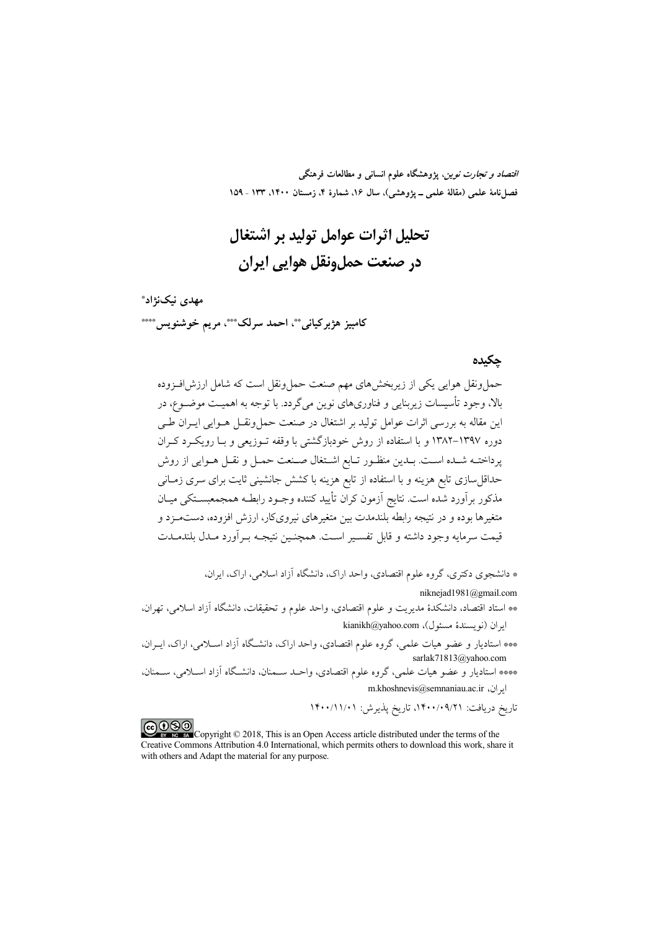*اقتصاد و تجارت نوین*، پژوهشگاه علوم انسان<sub>ی</sub> و مطالعات فرهنگی فصل نامهٔ علمی (مقالهٔ علمی \_ یژوهشی)، سال ۱۶، شمارهٔ ۴، زمستان ۱۴۰۰، ۱۳۳ ـ ۱۵۹

# تحليل اثرات عوامل توليد بر اشتغال در صنعت حمل.ونقل هوایی ایران

مهدی نیکنژاد\* کامبيز هژبرکياني\*\*، احمد سرلک\*\*\*، مريم خوشنويس\*\*\*\*

#### حكىدە

حمل ونقل هوایی یکی از زیربخش های مهم صنعت حمل ونقل است که شامل ارزش افـزوده بالا، وجود تأسیسات زیربنایی و فناوریهای نوین میگردد. با توجه به اهمیـت موضــوع، در این مقاله به بررسی اثرات عوامل تولید بر اشتغال در صنعت حملونقــل هــوایی ایــران طــی دوره ۱۳۹۷–۱۳۸۲ و با استفاده از روش خودبازگشتی با وقفه تـوزیعی و بـا رویکـرد کـران پرداختـه شـده اسـت. بـدين منظـور تـابع اشـتغال صـنعت حمـل و نقـل هـوايي از روش حداقلسازی تابع هزینه و با استفاده از تابع هزینه با کشش جانشینی ثایت برای سری زمـانی مذکور برآورد شده است. نتایج آزمون کران تأیید کننده وجـود رابطـه همجمعبســتکی میــان متغیرها بوده و در نتیجه رابطه بلندمدت بین متغیرهای نیرویکار، ارزش افزوده، دستمــزد و قيمت سرمايه وجود داشته و قابل تفسـير اسـت. همچنـين نتيجـه بـرآورد مـدل بلندمــدت

\* دانشجوی دکتری، گروه علوم اقتصادی، واحد اراک، دانشگاه آزاد اسلام ِ,، اراک، اـ. ان،

niknejad1981@gmail.com

- \*\* استاد اقتصاد، دانشکدهٔ مدیریت و علوم اقتصادی، واحد علوم و تحقیقات، دانشگاه آزاد اسلامی، تهران، kianikh@yahoo.com ((نو يسندهٔ مسئول)، kianikh@yahoo.com
- \*\*\* استادیار و عضو هیات علمی، گروه علوم اقتصادی، واحد اراک، دانشگاه آزاد اسـلامی، اراک، ایـران، sarlak71813@yahoo.com
- \*\*\* استادیار و عضو هیات علمی، گروه علوم اقتصادی، واحـد سـمنان، دانشـگاه آزاد اسـلامی، سـمنان، m.khoshnevis@semnaniau.ac.ir ایران،

تاريخ دريافت: ٠/٩/٢١/١٩٩/١، تاريخ پذيرش: ١٢٠٠/١١/٠١

COOD experience Copyright © 2018, This is an Open Access article distributed under the terms of the Creative Commons Attribution 4.0 International, which permits others to download this work, share it with others and Adapt the material for any purpose.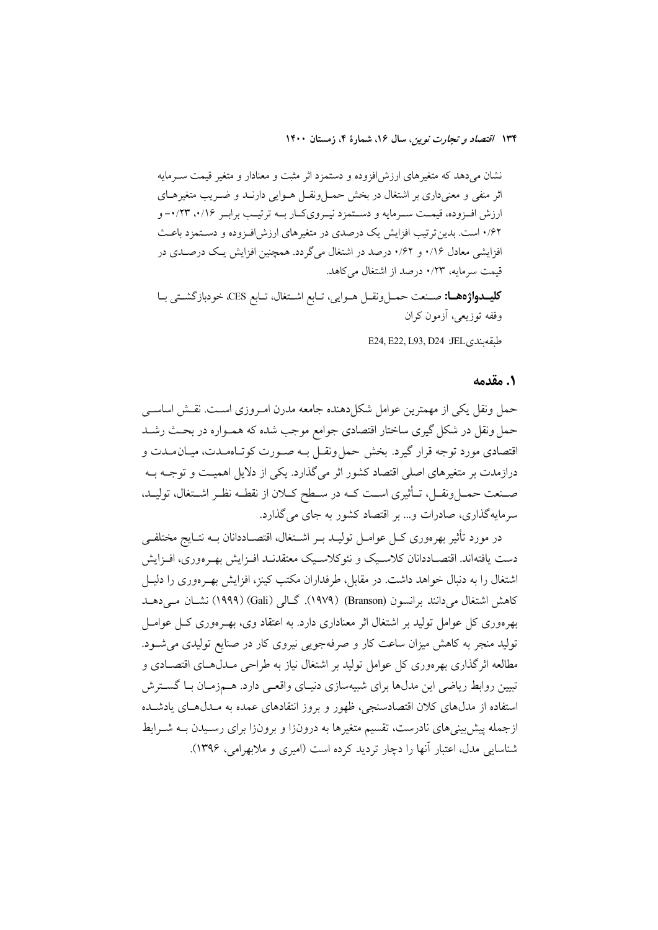نشان می دهد که متغیرهای ارزش افزوده و دستمزد اثر مثبت و معنادار و متغیر قیمت سـرمایه اثر منفی و معنیداری بر اشتغال در بخش حمــلونقــل هــوایی دارنــد و ضــریب متغیرهــای ارزش افـزوده، قيمـت سـرمايه و دسـتمزد نيـرويكـار بــه ترتيـب برابـر ٠/١۶، ٠/٢٣- و ۰/۶۲ است. بدین ترتیب افزایش یک درصدی در متغیرهای ارزش افـزوده و دسـتمزد باعـث افزایشی معادل ۱/۶۲ و ۰/۶۲ درصد در اشتغال میگردد. همچنین افزایش یک درصـدی در قیمت سرمایه، ۰/۲۳ درصد از اشتغال می کاهد.

كليمواژهها: صنعت حمـلونقـل هـوايي، تـابع اشـتغال، تـابع CES، خودبازگشـتي بـا وقفه توزيعي، أزمون كران

E24, E22, L93, D24 : JEL, طبقه بندي

#### 1. مقدمه

حمل ونقل يكي از مهمترين عوامل شكل دهنده جامعه مدرن امـروزي اسـت. نقـش اساسـي حمل ونقل در شکل گیری ساختار اقتصادی جوامع موجب شده که همـواره در بحـث رشـد اقتصادی مورد توجه قرار گیرد. بخش حمل ونقـل بـه صـورت کوتـاهمـدت، میـان مـدت و درازمدت بر متغیرهای اصلی اقتصاد کشور اثر میگذارد. یکی از دلایل اهمیت و توجـه بـه صـنعت حمـلونقـل، تـأثيري اسـت كـه در سـطح كـلان از نقطـه نظـر اشـتغال، توليـد. سرمايهگذاري، صادرات و... بر اقتصاد كشور به جاي مي گذارد.

در مورد تأثیر بهرەوری کــل عوامــل تولیــد بــر اشــتغال، اقتصــاددانان بــه نتــایج مختلفــی دست یافتهاند. اقتصـاددانان کلاسـیک و نئوکلاسـیک معتقدنـد افـزایش بهـرهوری، افـزایش اشتغال را به دنبال خواهد داشت. در مقابل، طرفداران مکتب کینز، افزایش بهـر موری را دلیــل كاهش اشتغال مي دانند برانسون (Branson) (١٩٧٩). گــالي (Gali) (١٩٩٩) نشــان مــي دهــد بهرهوری کل عوامل تولید بر اشتغال اثر معناداری دارد. به اعتقاد وی، بهـرهوری کــل عوامــل تولید منجر به کاهش میزان ساعت کار و صرفهجویی نیروی کار در صنایع تولیدی می شـود. مطالعه اثر گذاری بهرهوری کل عوامل تولید بر اشتغال نیاز به طراحی مــدل۱هـای اقتصــادی و تبیین روابط ریاضی این مدلها برای شبیهسازی دنیـای واقعـی دارد. هــمزمـان بـا گســترش استفاده از مدلهای کلان اقتصادسنجی، ظهور و بروز انتقادهای عمده به مـدلهـای یادشـده ازجمله پیش بینی های نادرست، تقسیم متغیرها به درونزا و برونزا برای رسـیدن بـه شـرایط شناسایی مدل، اعتبار آنها را دچار تردید کرده است (امیری و ملابهرامی، ۱۳۹۶).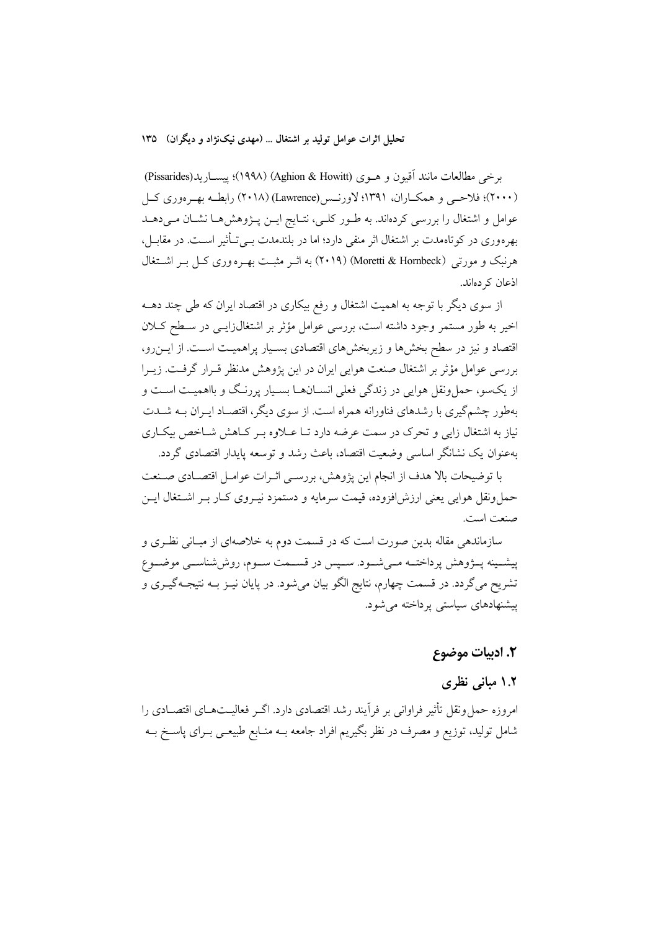#### تحلیل اثرات عوامل تولید بر اشتغال ... (مهدی نیکنژاد و دیگران) ۱۳۵

برخي مطالعات مانند اّقيون و هــوي (Aghion & Howitt) (١٩٩٨)؛ ييســاريد(Pissarides) (۲۰۰۰)؛ فلاحسی و همکــاران، ۱۳۹۱؛ لاورنــس(Lawrence) (۲۰۱۸) رابطــه بهــرهوري کــل عوامل و اشتغال را بررسی کردهاند. به طـور کلـی، نتـایج ایــن پــژوهش۵مـا نشـان مـیدهــد بهرهوری در کوتاهمدت بر اشتغال اثر منفی دارد؛ اما در بلندمدت بــیتــأثیر اســت. در مقابــل، هرنبک و مورتبی (Moretti & Hornbeck) (۲۰۱۹) به اثـر مثبـت بهـره وری کـل بـر اشــتغال اذعان کر دہاند.

از سوی دیگر با توجه به اهمیت اشتغال و رفع بیکاری در اقتصاد ایران که طی چند دهــه اخیر به طور مستمر وجود داشته است، بررسی عوامل مؤثر بر اشتغال(ایسی در سطح کـلان اقتصاد و نیز در سطح بخشها و زیربخشهای اقتصادی بسـیار پراهمیـت اسـت. از ایــن٫رو، بررسی عوامل مؤثر بر اشتغال صنعت هوایی ایران در این پژوهش مدنظر قــرار گرفــت. زیــرا از یکسو، حمل ونقل هوایی در زندگی فعلی انسـانهـا بسـیار پررنـگ و بااهمیـت اسـت و بهطور چشمگیری با رشدهای فناورانه همراه است. از سوی دیگر، اقتصـاد ایـران بـه شــدت نیاز به اشتغال زایی و تحرک در سمت عرضه دارد تـا عــلاوه بــر کــاهش شــاخص بیکــاری بهعنوان یک نشانگر اساسی وضعیت اقتصاد، باعث رشد و توسعه پایدار اقتصادی گردد.

با توضيحات بالا هدف از انجام اين يژوهش، بررسـي اثـرات عوامـل اقتصـادي صـنعت حمل ونقل هوايي يعني ارزش افزوده، قيمت سرمايه و دستمزد نيـروي كــار بــر اشــتغال ايــن صنعت است.

سازماندهی مقاله بدین صورت است که در قسمت دوم به خلاصهای از مبـانی نظـری و پیشــینه پــژوهش پرداختــه مــیشــود. ســپس در قســمت ســوم، روششناســی موضــوع تشریح میگردد. در قسمت چهارم، نتایج الگو بیان میشود. در پایان نیـز بــه نتیجــهگیــری و پیشنهادهای سیاستی پر داخته می شود.

#### ٢. ادبيات موضوع

## ١.٢ مبانی نظری

امروزه حمل ونقل تأثیر فراوانی بر فرآیند رشد اقتصادی دارد. اگــر فعالیــتهــای اقتصــادی را شامل تولید، توزیع و مصرف در نظر بگیریم افراد جامعه بــه منــابع طبیعــی بــرای پاســخ بــه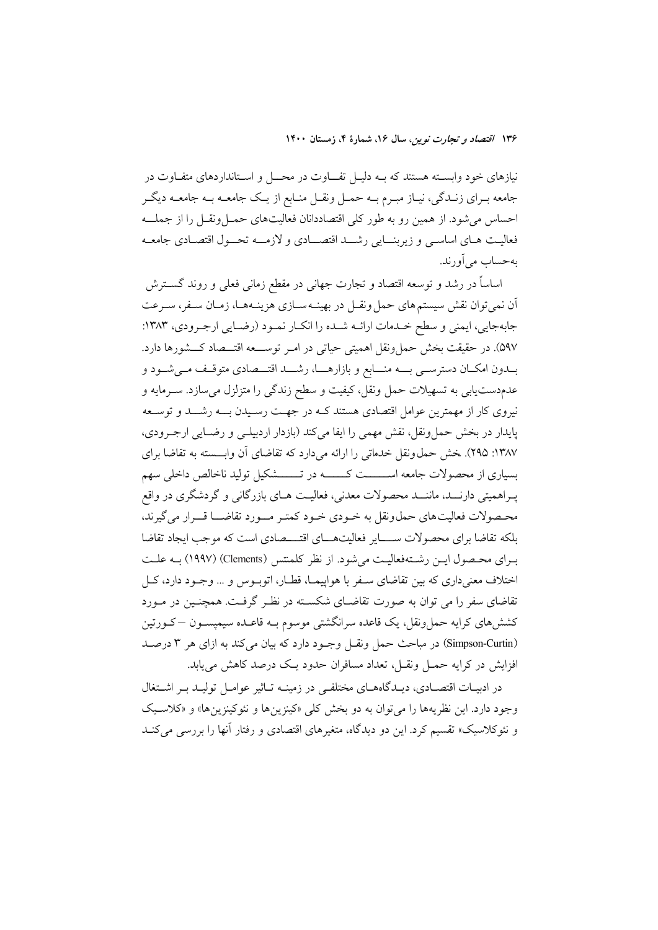نیازهای خود وابسته هستند که بـه دلیـل تفــاوت در محــل و اسـتانداردهای متفـاوت در جامعه بـراي زنـدگي، نيـاز مبـرم بــه حمـل ونقـل منـابع از يـك جامعــه بــه جامعــه ديگـر احساس می شود. از همین رو به طور کلی اقتصاددانان فعالیتهای حمـلونقـل را از جملــه فعاليت هـاي اساسـي و زيربنــايي رشـــد اقتصـــادي و لازمـــه تحــول اقتصـادي جامعـه به حساب می آورند.

اساساً در رشد و توسعه اقتصاد و تجارت جهانی در مقطع زمانی فعلی و روند گســترش آن نمي توان نقش سيستم هاي حمل ونقـل در بهينــه سـازي هزينــههــا، زمـان ســفر، سـرعت جابهجایی، ایمنی و سطح خـدمات ارائـه شـده را انکـار نمـود (رضـایی ارجـرودی، ۱۳۸۳: ۵۹۷). در حقیقت بخش حمل ونقل اهمیتی حیاتی در امـر توســـعه اقتـــصاد کـــشورها دارد. بــدون امکــان دسترســـي بــــه منــــابع و بازارهــــا، رشــــد اقتــــصادي متوقــف مــيشــود و عدمدستیابی به تسهیلات حمل ونقل، کیفیت و سطح زندگی را متزلزل میسازد. سـرمایه و نیروی کار از مهمترین عوامل اقتصادی هستند کـه در جهـت رسـیدن بــه رشـــد و توســعه پایدار در بخش حمل ونقل، نقش مهمی را ایفا میکند (بازدار اردبیلـی و رضـایی ارجـرودی، ١٣٨٧: ٢٩٥). خش حمل ونقل خدماتي را ارائه مي دارد كه تقاضاي أن وابـــسته به تقاضا براي بسیاری از محصولات جامعه اســــــت کـــــــه در تـــــــشکیل تولید ناخالص داخلی سهم پـراهميتي دارنـــد، ماننـــد محصولات معدني، فعاليــت هــاي بازرگاني و گردشگري در واقع محصولات فعالیتهای حملونقل به خـودی خـود کمتـر مــورد تقاضـــا قـــرار می گیرند، بلکه تقاضا برای محصولات ســـــایر فعالیتهــــای اقتــــصادی است که موجب ایجاد تقاضا بهراي محصول ايس رشتهفعاليت مي شود. از نظر كلمنتس (Clements) (١٩٩٧) بـه علـت اختلاف معنیداری که بین تقاضای سـفر با هواپیمـا، قطـار، اتوبـوس و … وجـود دارد، کـل تقاضای سفر را می توان به صورت تقاضـای شکسـته در نظـر گرفـت. همچنـین در مـورد کشش۵های کرایه حمل ونقل، یک قاعده سرانگشتی موسوم بـه قاعـده سیمپســون —کــورتین (Simpson-Curtin) در مباحث حمل ونقـل وجـود دارد كه بيان مى كند به ازاى هر ٣ درصـد افزایش در کرایه حمـل ونقـل، تعداد مسافران حدود یـک درصد کاهش می،یابد.

در ادبیـات اقتصـادی، دیـدگاههـای مختلفـی در زمینـه تـاثیر عوامـل تولیـد بـر اشــتغال وجود دارد. اين نظريهها را مي توان به دو بخش كلي «كينزينها و نئوكينزينها» و «كلاسـيك و نئوکلاسیک» تقسیم کرد. این دو دیدگاه، متغیرهای اقتصادی و رفتار آنها را بررسی می کنـد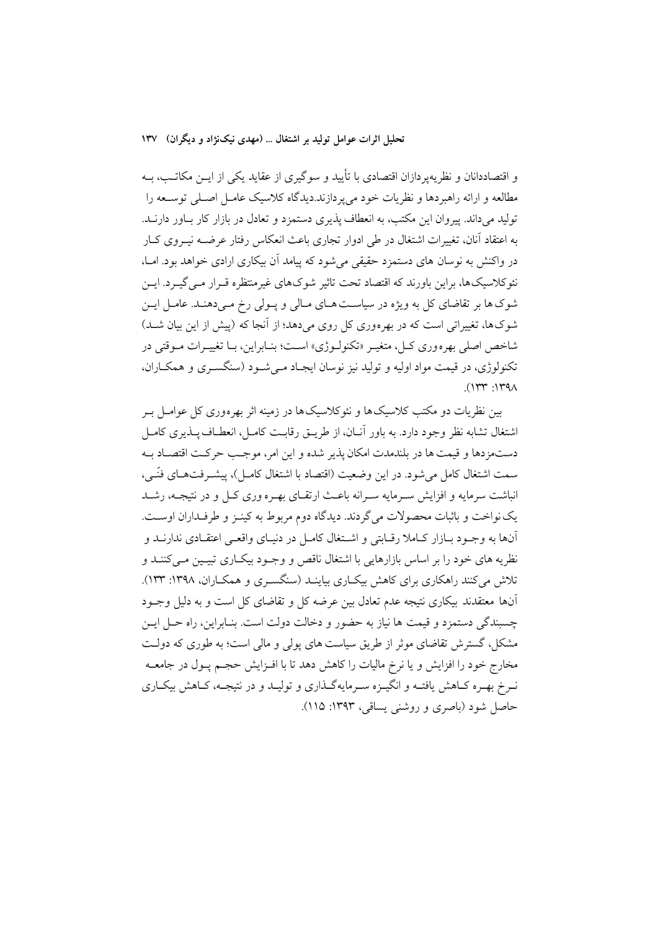تحلیل اثرات عوامل تولید بر اشتغال … (مهدی نیکنژاد و دیگران) ۱۳۷

و اقتصاددانان و نظریه پردازان اقتصادی با تأیید و سوگیری از عقاید یکی از ایــن مکاتــب، بــه مطالعه و ارائه راهبردها و نظریات خود می پردازند.دیدگاه کلاسیک عامـل اصـلی توســعه را تولید می داند. پیروان این مکتب، به انعطاف پذیری دستمزد و تعادل در بازار کار بـاور دارنــد. به اعتقاد آنان، تغییرات اشتغال در طی ادوار تجاری باعث انعکاس رفتار عرضــه نیــروی کــار در واکنش به نوسان های دستمزد حقیقی می شود که پیامد آن بیکاری ارادی خواهد بود. امــا، نئوکلاسیکها، براین باورند که اقتصاد تحت تاثیر شوکهای غیرمنتظره قـرار مـی گیـرد. ایــن شوک ها بر تقاضای کل به ویژه در سیاست هـای مـالی و پـولی رخ مـیدهنـد. عامـل ایـن شوکها، تغییراتی است که در بهرهوری کل روی می دهد؛ از آنجا که (پیش از این بیان شــد) شاخص اصلی بهره وری کـل، متغیـر «تکنولـوژی» اسـت؛ بنـابراین، بـا تغییـرات مـوقتی در تکنولوژي، در قيمت مواد اوليه و توليد نيز نوسان ايجـاد مـي شـود (سنگسـري و همکــاران،  $(114.11)$ 

بین نظریات دو مکتب کلاسیک ها و نئوکلاسیک ها در زمینه اثر بهرهوری کل عوامــل بــر اشتغال تشابه نظر وجود دارد. به باور آنـان، از طريــق رقابـت كامــل، انعطــاف پــذيرى كامــل دستمزدها و قیمت ها در بلندمدت امکان یذیر شده و این امر، موجب حرکت اقتصـاد بـه سمت اشتغال كامل مي شود. در اين وضعيت (اقتصاد با اشتغال كامـل)، ييشــرفتهــاي فنّــي، انباشت سرمایه و افزایش سـرمایه سـرانه باعـث ارتقـای بهـره وری کـل و در نتیجـه، رشــد یک نواخت و باثبات محصولات می گردند. دیدگاه دوم مربوط به کینـز و طرفـداران اوسـت. آنها به وجـود بــازار كــاملا رقــابتي و اشــتغال كامــل در دنيــاي واقعــي اعتقــادي ندارنــد و نظریه های خود را بر اساس بازارهایی با اشتغال ناقص و وجـود بیکـاری تبیـین مـیکننــد و تلاش می کنند راهکاری برای کاهش بیکباری بیاینـد (سنگسـری و همکـاران، ۱۳۹۸: ۱۳۳). آنها معتقدند بیکاری نتیجه عدم تعادل بین عرضه کل و تقاضای کل است و به دلیل وجـود چسبندگی دستمزد و قیمت ها نیاز به حضور و دخالت دولت است. بنـابراین، راه حـل ایـن مشکل، گسترش تقاضای موثر از طریق سیاست های پولی و مالی است؛ به طوری که دولت مخارج خود را افزایش و یا نرخ مالیات را کاهش دهد تا با افـزایش حجـم پــول در جامعــه نـرخ بهـره كـاهش يافتـه و انگيـزه سـرمايهگـذاري و توليـد و در نتيجـه، كـاهش بيكـاري حاصل شود (باصري و روشني يساقي، ١٣٩٣: ١١۵).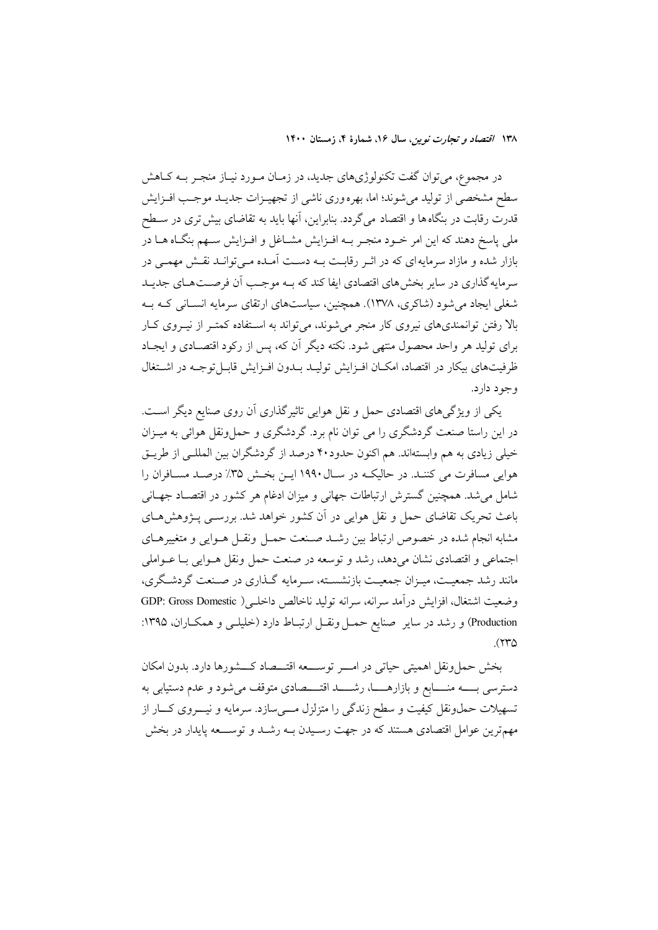در مجموع، می توان گفت تکنولوژیهای جدید، در زمـان مـورد نیـاز منجـر بــه کــاهش سطح مشخصی از تولید می شوند؛ اما، بهره وری ناشی از تجهیـزات جدیـد موجـب افـزایش قدرت رقابت در بنگاه ها و اقتصاد م*ی گ*ردد. بنابراین، آنها باید به تقاضای بیش تری در ســطح ملي پاسخ دهند كه اين امر خـود منجـر بــه افــزايش مشــاغل و افــزايش ســهم بنگــاه هــا در بازار شده و مازاد سرمایه ای که در اثـر رقابـت بـه دسـت آمـده مـی توانـد نقـش مهمـی در سرمایه گذاری در سایر بخش های اقتصادی ایفا کند که بــه موجـب اّن فرصــتهــای جدیــد شغلی ایجاد می شود (شاکری، ۱۳۷۸). همچنین، سیاستهای ارتقای سرمایه انسـانی کـه بـه بالا رفتن توانمندیهای نیروی کار منجر می شوند، می تواند به اسـتفاده کمتـر از نیـروی کـار برای تولید هر واحد محصول منتهی شود. نکته دیگر آن که، پس از رکود اقتصـادی و ایجـاد ظرفیتهای بیکار در اقتصاد، امکـان افـزایش تولیـد بـدون افـزایش قابـل توجـه در اشــتغال وجود دارد.

یکی از ویژگیهای اقتصادی حمل و نقل هوایی تاثیرگذاری آن روی صنایع دیگر است. در این راستا صنعت گردشگری را می توان نام برد. گردشگری و حمل ونقل هوائی به میـزان خیلی زیادی به هم وابستهاند. هم اکنون حدود۴۰ درصد از گردشگران بین المللـی از طریـق هوایی مسافرت می کننـد. در حالیکـه در سـال ۱۹۹۰ ایـن بخـش ۳۵٪ درصـد مسـافران را شامل می شد. همچنین گسترش ارتباطات جهانی و میزان ادغام هر کشور در اقتصـاد جهـانی باعث تحریک تقاضای حمل و نقل هوایی در اَن کشور خواهد شد. بررســی پــژوهش۱صای مشابه انجام شده در خصوص ارتباط بين رشـد صـنعت حمـل ونقـل هـوايي و متغييرهـاي اجتماعي و اقتصادي نشان مي دهد، رشد و توسعه در صنعت حمل ونقل هــوايي بــا عــواملي مانند رشد جمعیت، میـزان جمعیـت بازنشسـته، سـرمایه گـذاری در صـنعت گردشـگری، وضعيت اشتغال، افزايش درآمد سرانه، سرانه توليد ناخالص داخلـي( GDP: Gross Domestic Production) و رشد در سایر صنایع حمل ونقـل ارتبـاط دارد (خلیلـی و همکـاران، ۱۳۹۵:  $(550)$ 

بخش حملونقل اهميتي حياتي در امـــر توســـعه اقتـــصاد كـــشورها دارد. بدون امكان دسترسی بــــه منــــابع و بازارهـــــا، رشـــــد اقتــــصادی متوقف میشود و عدم دستیابی به تسهیلات حمل ونقل کیفیت و سطح زندگی را متزلزل مـــیسازد. سرمایه و نیــــروی کــــار از مهمترین عوامل اقتصادی هستند که در جهت رسـیدن بــه رشــد و توســــعه پایدار در بخش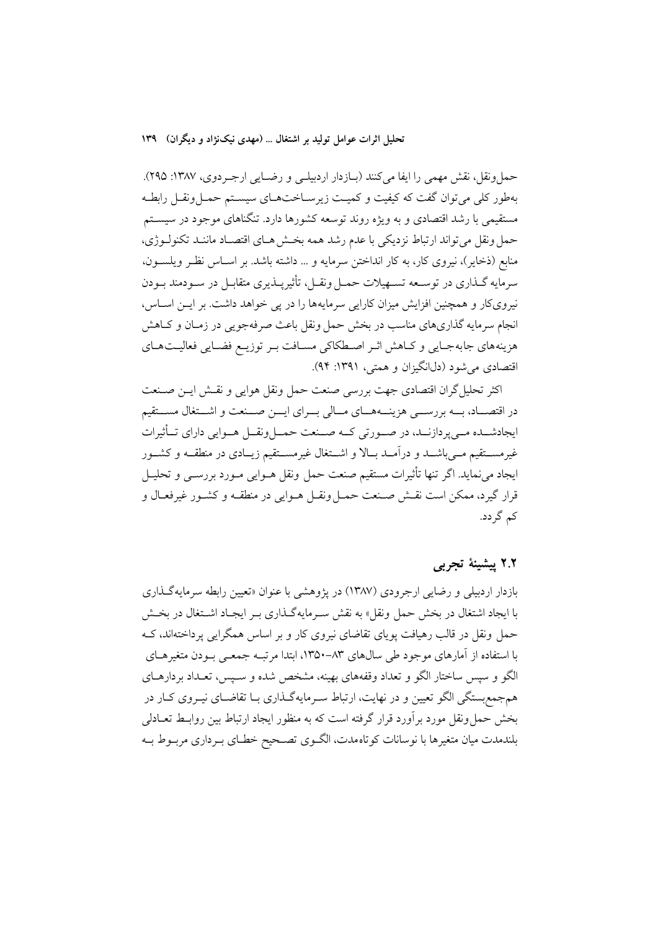حمل ونقل، نقش مهمی را ایفا میکنند (بیازدار اردبیلی و رضیایی ارجبردوی، ۱۳۸۷: ۲۹۵). بهطور کلم ,می توان گفت که کیفیت و کمیـت زیرسـاختهـای سیسـتم حمـلونقـل رابطـه مستقیمی با رشد اقتصادی و به ویژه روند توسعه کشورها دارد. تنگناهای موجود در سیسـتم حمل ونقل مي تواند ارتباط نزديكي با عدم رشد همه بخش هـاي اقتصـاد ماننـد تكنولـوژي، منابع (ذخایر)، نیروی کار، به کار انداختن سرمایه و … داشته باشد. بر اسـاس نظـر ویلســون، سرمايه گــذاري در توســعه تســهيلات حمــل ونقــل، تأثيرپــذيري متقابــل در ســودمند بــودن نیرویکار و همچنین افزایش میزان کارایی سرمایهها را در پی خواهد داشت. بر ایـن اسـاس، انجام سرمایه گذاریهای مناسب در بخش حمل ونقل باعث صرفهجویی در زمـان و کـاهش هزینههای جابهجایی و کاهش اثر اصطکاکی مسافت بر توزیـع فضـایی فعالیـتهـای اقتصادی میشود (دل\نگیزان و همتی، ۱۳۹۱: ۹۴).

اكثر تحليل گران اقتصادي جهت بررسي صنعت حمل ونقل هوايي و نقــش ايــن صــنعت در اقتصـــاد، بـــه بررســـي هزينـــههـــاي مـــالي بـــراي ايـــن صـــنعت و اشـــتغال مســـتقيم ایجادشــده مــیپردازنــد، در صــورتی کــه صــنعت حمــلونقــل هــوایی دارای تــأثیرات غیرمســتقیم مــی،باشــد و درآمــد بــالا و اشــتغال غیرمســتقیم زیــادی در منطقــه و کشــور ايجاد مىنمايد. اگر تنها تأثيرات مستقيم صنعت حمل ونقل هــوايي مــورد بررســي و تحليــل قرار گیرد، ممکن است نقـش صـنعت حمـل ونقـل هــوایی در منطقــه و کشــور غیرفعـال و کم گر دد.

#### ٢.٢ پيشينۀ تجربي

بازدار اردبیلی و رضایی ارجرودی (۱۳۸۷) در پژوهشی با عنوان «تعیین رابطه سرمایهگذاری با ایجاد اشتغال در بخش حمل ونقل» به نقش سـرمایهگـذاری بـر ایجـاد اشـتغال در بخـش حمل ونقل در قالب رهیافت یوپای تقاضای نیروی کار و بر اساس همگرایی پرداختهاند، کـه با استفاده از آمارهای موجود طی سال۵های ۸۳-۱۳۵۰، ابتدا مرتبـه جمعـی بـودن متغیرهــای الگو و سپس ساختار الگو و تعداد وقفههای بهینه، مشخص شده و سـیس، تعـداد بردارهــای همجمع بستگی الگو تعیین و در نهایت، ارتباط سـرمایهگـذاری بــا تقاضــای نیــروی کــار در بخش حمل ونقل مورد برأورد قرار گرفته است که به منظور ایجاد ارتباط بین روابـط تعــادلمی بلندمدت ميان متغيرها با نوسانات كوتاهمدت، الگـوى تصـحيح خطـاى بـردارى مربـوط بـه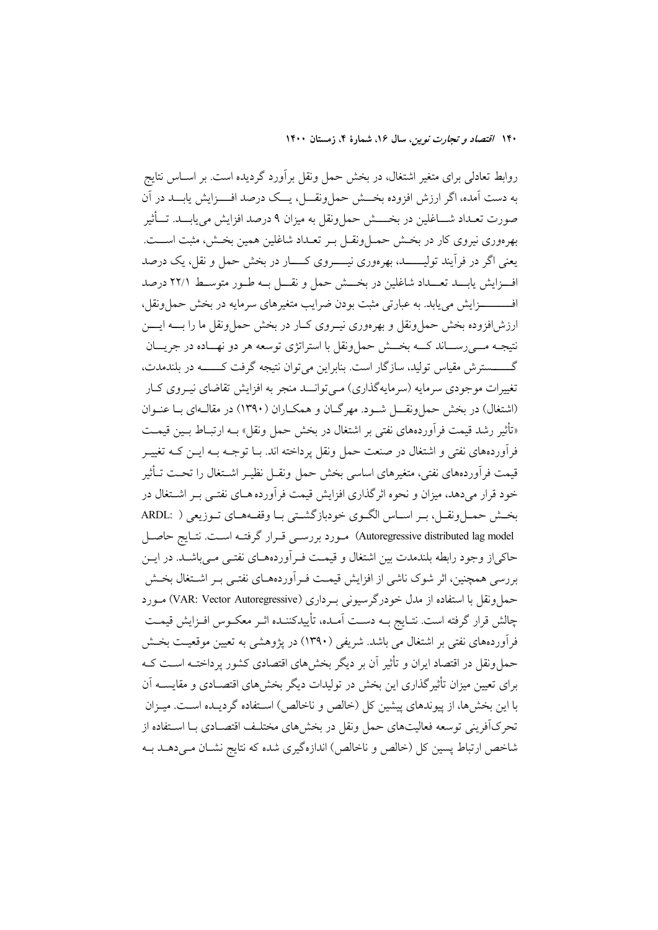روابط تعادلی برای متغیر اشتغال، در بخش حمل ونقل برآورد گردیده است. بر اســاس نتایج به دست آمده، اگر ارزش افزوده بخـــش حمل ونقـــل، يـــک درصد افــــزايش يابـــد در آن صورت تعـداد شــــاغلين در بخـــــش حملونقل به ميزان ٩ درصد افزايش مىيابـــد. تـــأثير بهرهوري نيروي كار در بخـش حمــلونقــل بــر تعــداد شاغلين همين بخــش، مثبت اســـت. يعني اگر در فرأيند توليــــــد، بهرهوري نيـــــــروي كــــــار در بخش حمل و نقل، يك درصد اف زایش پاب تعبداد شاغلین در بخش حمل و نقبل بـه طـور متوسـط ۲۲/۱ درصد افـــــــــزايش مى يابد. به عبارتى مثبت بودن ضرايب متغيرهاى سرمايه در بخش حمل ونقل، ارزش افزوده بخش حمل ونقل و بهرهوري نيبروي كبار در بخش حما ونقل ما را بـــه ايــــن .<br>نتیجـه مـــی(ســـاند کـــه بخـــش حملونقل با استراتژی توسعه هر دو نهـــاده در جریـــان گـــــــــسترش مقياس توليد، سازگار است. بنابراين مي توان نتيجه گرفت كــــــــه در بلندمدت، تغییرات موجودی سرمایه (سرمایهگذاری) مـی توانــد منجر به افزایش تقاضای نیـروی کـار (اشتغال) در پخش جما ونقسل شبود. مهرگیان و همکیاران (۱۳۹۰) در مقالبهای بیا عنبوان «تأثير رشد قيمت فرآوردههاي نفتي بر اشتغال در بخش حمل ونقل» بـه ارتبــاط بــين قيمــت فرآوردههای نفتی و اشتغال در صنعت حمل ونقل پرداخته اند. بــا توجــه بــه ايــن کــه تغييــر قيمت فرآوردههاي نفتي، متغيرهاي اساسي بخش حمل ونقــل نظيــر اشــتغال را تحــت تــأثير خود قرار می دهد، میزان و نحوه اثر گذاری افزایش قیمت فرآورده هـای نفتـی بـر اشــتغال در بخش حمل ونقـل، بـر اسـاس الگـوى خودبازگشـتى بـا وقفـههـاى تـوزيعى ( .ARDL Autoregressive distributed lag model) مورد بررسي قرار گرفته است. نتايج حاصل حاکی از وجود رابطه بلندمدت بین اشتغال و قیمت فـر اَوردههـای نفتـی مـی باشـد. در ایــن بررسی همچنین، اثر شوک ناشی از افزایش قیمت فـر اَوردههــای نفتــی بـر اشــتغال بخــش حمل ونقل با استفاده از مدل خودرگرسیونی بـرداری (VAR: Vector Autoregressive) مـورد چالش قرار گرفته است. نتـايج بــه دســت آمــده، تأييدكننــده اثــر معكــوس افــزايش قيمــت فرآوردههای نفتی بر اشتغال می باشد. شریفی (۱۳۹۰) در یژوهشی به تعیین موقعیت بخش حمل ونقل در اقتصاد ایران و تأثیر آن بر دیگر بخشهای اقتصادی کشور پرداختـه اسـت کـه برای تعبین میزان تأثیر گذاری این پخش در تولیدات دیگر پخش های اقتصـادی و مقایســه آن با این بخشها، از پیوندهای پیشین کل (خالص و ناخالص) استفاده گردیـده اسـت. میـزان .<br>تحرکآفرینی توسعه فعالیتهای حمل ونقل در بخشهای مختلـف اقتصـادی بـا اسـتفاده از شاخص ارتباط یسین کل (خالص و ناخالص) اندازهگیری شده که نتایج نشـان مـی،دهــد بــه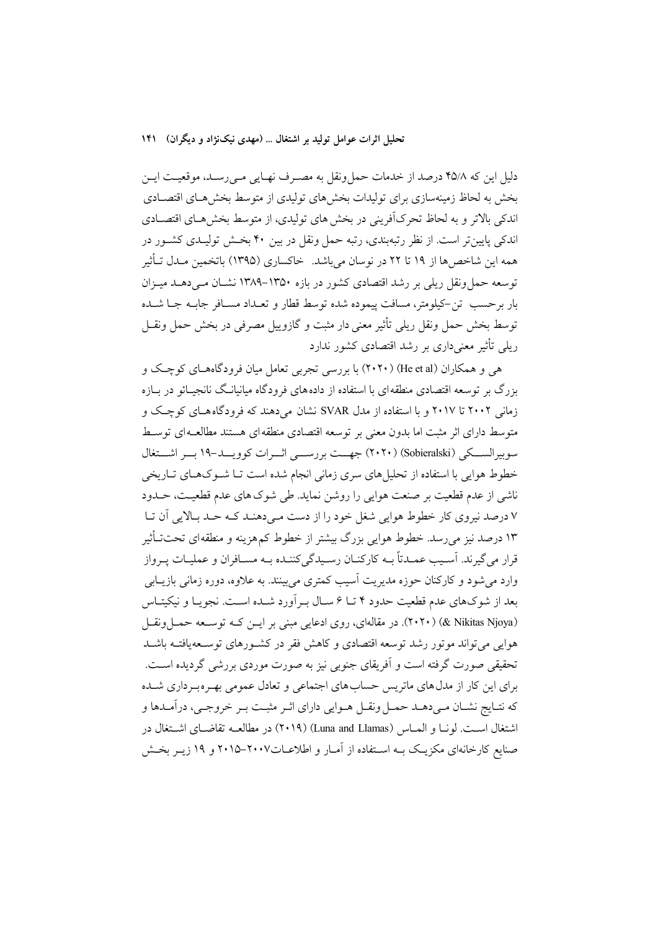دلیل این که ۴۵/۸ درصد از خدمات حملونقل به مصـرف نهـایی مـیرسـد، موقعیـت ایـن بخش به لحاظ زمینهسازی برای تولیدات بخش۵مای تولیدی از متوسط بخش۵مـای اقتصـادی اندکی بالاتر و به لحاظ تحرکآفرینی در بخش های تولیدی، از متوسط بخش هـای اقتصـادی اندکی پایینتر است. از نظر رتبهبندی، رتبه حمل ونقل در بین ۴۰ بخش تولیـدی کشـور در همه این شاخص ها از ۱۹ تا ۲۲ در نوسان می باشد. خاکساری (۱۳۹۵) باتخمین مــدل تــأثیر توسعه حمل ونقل ریلی بر رشد اقتصادی کشور در بازه ۱۳۵۰–۱۳۸۹ نشــان مــی(دهــد میــزان بار برحسب تن-کیلومتر، مسافت پیموده شده توسط قطار و تعـداد مسـافر جابـه جـا شـده توسط بخش حمل ونقل ريلي تأثير معنى دار مثبت و گازوييل مصرفي در بخش حمل ونقــل ریلی تأثیر معنیداری بر رشد اقتصادی کشور ندارد

هی و همکاران (He et al) (۲۰۲۰) با بررسی تجربی تعامل میان فرودگاههـای کوچـک و بزرگ بر توسعه اقتصادی منطقه ای با استفاده از داده های فرودگاه میانیانـگ نانجیــائو در بــازه زمانی ۲۰۰۲ تا ۲۰۱۷ و با استفاده از مدل SVAR نشان می دهند که فرودگاه هبای کوچک و متوسط دارای اثر مثبت اما بدون معنی بر توسعه اقتصادی منطقه ای هستند مطالعـه ای توسـط سوبیرالسکی (Sobieralski) (۲۰۲۰) جهت بررســی اثــرات کوویـــد-۱۹ بـــر اشـــتغال خطوط هوایی با استفاده از تحلیلهای سری زمانی انجام شده است تـا شــوکـهـای تــاریخی ناشی از عدم قطعیت بر صنعت هوایی را روشن نماید. طی شوک های عدم قطعیـت، حــدود ۷ درصد نیروی کار خطوط هوایی شغل خود را از دست مـی،دهنـد کـه حـد بـالایی آن تـا ۱۳ درصد نیز میرسد. خطوط هوایی بزرگ بیشتر از خطوط کمهزینه و منطقهای تحتتـأثیر قرار مي گيرند. اَســيب عمــدتاً بــه كاركنــان رســيدگي كننــده بــه مســافران و عمليــات يــرواز وارد می شود و کارکنان حوزه مدیریت آسیب کمتری می بینند. به علاوه، دوره زمانی بازیــابی بعد از شوکهای عدم قطعیت حدود ۴ تـا ۶ سـال بـرآورد شـده اسـت. نجویـا و نیکیتـاس (X+۲۰) (& Nikitas Njoya). در مقالهای، روی ادعایی مبنی بر ایـن کـه توسـعه حمـل ونقـل هوایی می تواند موتور رشد توسعه اقتصادی و کاهش فقر در کشـورهای توسـعهیافتـه باشـد تحقیقی صورت گرفته است و آفریقای جنوبی نیز به صورت موردی بررشی گردیده اسـت. برای این کار از مدلهای ماتریس حسابهای اجتماعی و تعادل عمومی بهـرهبـر داری شــده که نتـايج نشـان مـي(هـد حمـل ونقـل هـوايي داراي اثـر مثبـت بـر خروجـي، درآمـدها و اشتغال است. لونـا و المـاس (Luna and Llamas) (٢٠١٩) در مطالعــه تقاضــاي اشــتغال در صنایع کارخانهای مکزیک بــه اســتفاده از آمــار و اطلاعــات٢٠٠٧–٢٠١۵ و ١٩ زیــر بخــش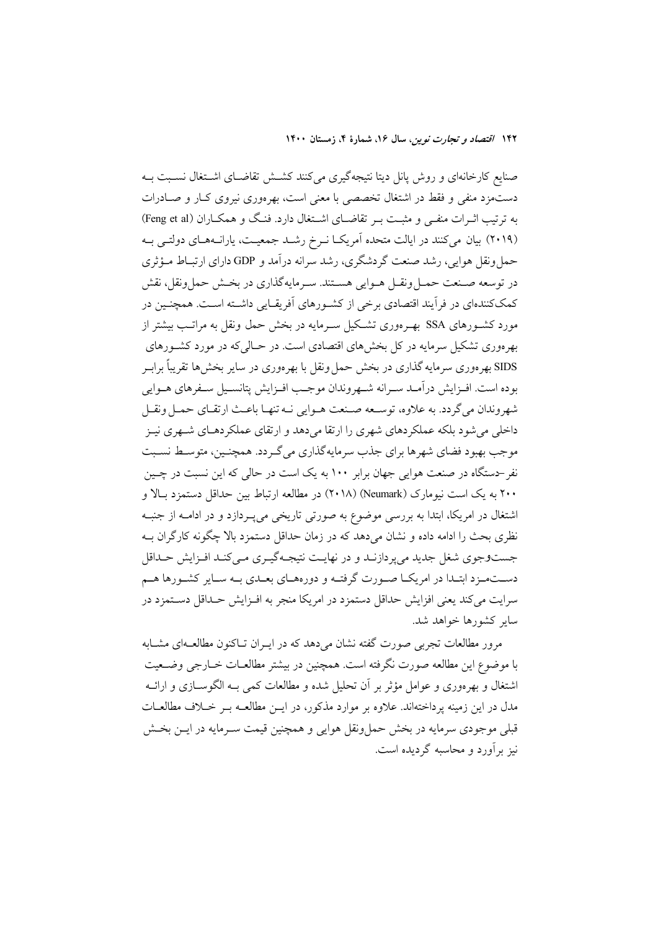صنایع کارخانهای و روش پانل دیتا نتیجهگیری میکنند کشــش تقاضــای اشــتغال نســبت بــه دستمزد منفی و فقط در اشتغال تخصصی با معنی است، بهرهوری نیروی کبار و صبادرات به ترتیب اثــرات منفــی و مثبــت بــر تقاضــای اشــتغال دارد. فنــگ و همکــاران (Feng et al) (۲۰۱۹) بیان میکنند در ایالت متحده آمریک انرخ رشد جمعیت، یارانههای دولتبی بـه حمل ونقل هوايي، رشد صنعت گردشگري، رشد سرانه درآمد و GDP داراي ارتبـاط مـؤثري در توسعه صـنعت حمـلونقـل هـوايي هسـتند. سـرمايهگذاري در بخـش حملونقل، نقش كمككنندهاي در فرأيند اقتصادي برخي از كشـورهاي أفريقـايي داشـته اسـت. همچنـين در مورد کشــورهای SSA بهــرهوری تشــکیل ســرمایه در بخش حمل ونقل به مراتــب بیشتر از بهرهوری تشکیل سرمایه در کل بخشهای اقتصادی است. در حـالییکه در مورد کشـورهای SIDS بهرهوری سرمایه گذاری در بخش حمل ونقل با بهرهوری در سایر بخشها تقریباً برابـر بوده است. افـزايش درآمـد سـرانه شـهروندان موجـب افـزايش پتانسـيل سـفرهاي هـوايي شهروندان مي گردد. به علاوه، توسـعه صـنعت هـوايي نـه تنهـا باعـث ارتقـاي حمـل ونقـل داخلی میشود بلکه عملکردهای شهری را ارتقا میدهد و ارتقای عملکردهـای شـهری نیـز موجب بهبود فضای شهرها برای جذب سرمایهگذاری میگردد. همچنـین، متوسـط نسـبت نفر -دستگاه در صنعت هوايي جهان برابر ۱۰۰ به يک است در حالي که اين نسبت در چـين ۲۰۰ به یک است نیومارک (Neumark) (۲۰۱۸) در مطالعه ارتباط بین حداقل دستمزد بـالا و اشتغال در امریکا، ابتدا به بررسی موضوع به صورتی تاریخی می پـردازد و در ادامــه از جنبــه نظری بحث را ادامه داده و نشان میدهد که در زمان حداقل دستمزد بالا چگونه کارگران بـه جست وجوی شغل جدید میپردازنـد و در نهایـت نتیجـهگیـری مـیکنـد افـزایش حـداقل دســتمـزد ابتـدا در امريكــا صــورت گرفتــه و دورههــاي بعــدي بــه ســاير كشــورها هــم سرایت میکند یعنی افزایش حداقل دستمزد در امریکا منجر به افـزایش حـداقل دسـتمزد در سایر کشورها خواهد شد.

مرور مطالعات تجربي صورت گفته نشان مي دهد كه در ايـران تــاكنون مطالعــهاي مشــابه با موضوع اين مطالعه صورت نگرفته است. همچنين در بيشتر مطالعــات خــارجي وضــعيت اشتغال و بهرهوري و عوامل مؤثر بر أن تحليل شده و مطالعات كمي بـه الگوســازي و ارائــه مدل در این زمینه یرداختهاند. علاوه بر موارد مذکور، در ایــن مطالعــه بــر خــلاف مطالعــات قبلي موجودي سرمايه در بخش حمل ونقل هوايي و همچنين قيمت سـرمايه در ايــن بخــش نیز بر آورد و محاسبه گردیده است.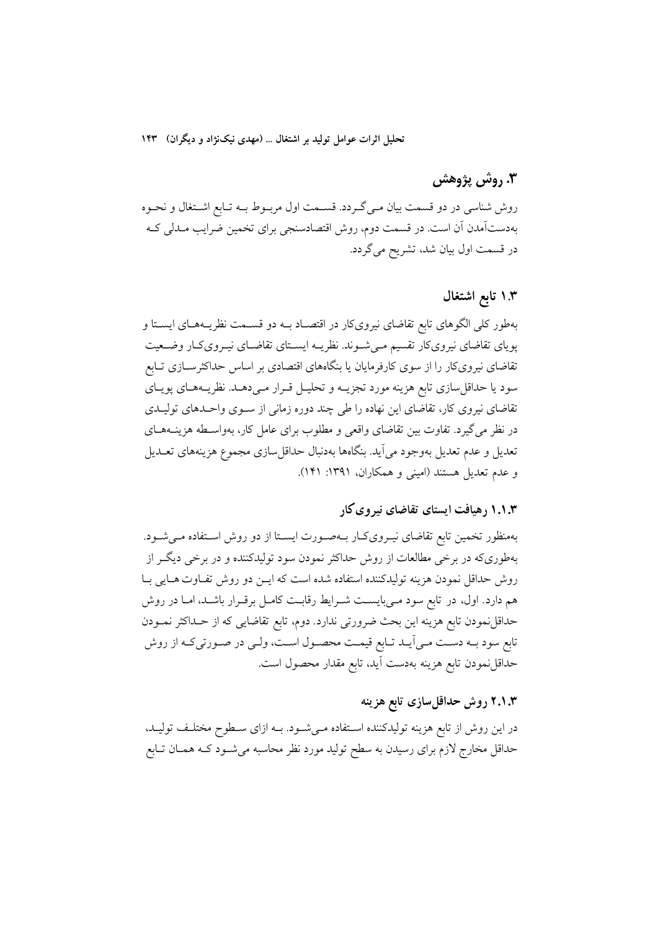تحلیل اثرات عوامل تولید بر اشتغال ... (مهدی نیکنژاد و دیگران) ۱۴۳

### 3. روش پژوهش

روش شناسی در دو قسمت بیان مـیگـردد. قسـمت اول مربـوط بـه تـابع اشـتغال و نحـوه بهدستآمدن آن است. در قسمت دوم، روش اقتصادسنجي براي تخمين ضرايب مـدلي كـه در قسمت اول بیان شد، تشریح می گردد.

#### ۱.۳ تابع اشتغال

بهطور کلی الگوهای تابع تقاضای نیرویکار در اقتصـاد بـه دو قسـمت نظریـههـای ایسـتا و پویای تقاضای نیرویکار تقسیم می شـوند. نظریـه ایسـتای تقاضـای نیـرویکـار وضـعیت تقاضای نیرویکار را از سوی کارفرمایان یا بنگاههای اقتصادی بر اساس حداکثرســازی تــابع سود یا حداقل سازی تابع هزینه مورد تجزیــه و تحلیــل قــرار مــیدهــد. نظریــههـای پویــای تقاضای نیروی کار، تقاضای این نهاده را طی چند دوره زمانی از سـوی واحـدهای تولیـدی در نظر می گیرد. تفاوت بین تقاضای واقعی و مطلوب برای عامل کار، بهواسـطه هزینــههــای تعديل و عدم تعديل بهوجود مي[يد. بنگاهها بهدنبال حداقلسازي مجموع هزينههاي تعــديل و عدم تعدیل هستند (امینی و همکاران، ۱۳۹۱: ۱۴۱).

#### ۱.۱.۳ رهیافت ایستای تقاضای نیروی کار

بهمنظور تخمین تابع تقاضای نیـرویکـار بـهصـورت ایسـتا از دو روش اسـتفاده مـی شـود. بهطوریکه در برخی مطالعات از روش حداکثر نمودن سود تولیدکننده و در برخی دیگــر از روش حداقل نمودن هزينه توليدكننده استفاده شده است كه ايــن دو روش تفــاوت هــايي بــا هم دارد. اول، در تابع سود مـیبایسـت شـرایط رقابـت کامـل برقـرار باشـد، امـا در روش حداقلنمودن تابع هزينه اين بحث ضرورتي ندارد. دوم، تابع تقاضايي كه از حــداكثر نمــودن تابع سود بـه دسـت مـى اَيــد تــابع قيمــت محصــول اســت، ولــى در صــورتىكـه از روش حداقلنمودن تابع هزينه بهدست أيد، تابع مقدار محصول است.

## ۲.۱.۳ روش حداقلسازی تابع هزینه

در این روش از تابع هزینه تولیدکننده استفاده مـیشـود. بــه ازای سـطوح مختلـف تولیــد، حداقل مخارج لازم برای رسیدن به سطح تولید مورد نظر محاسبه میشـود کـه همـان تـابع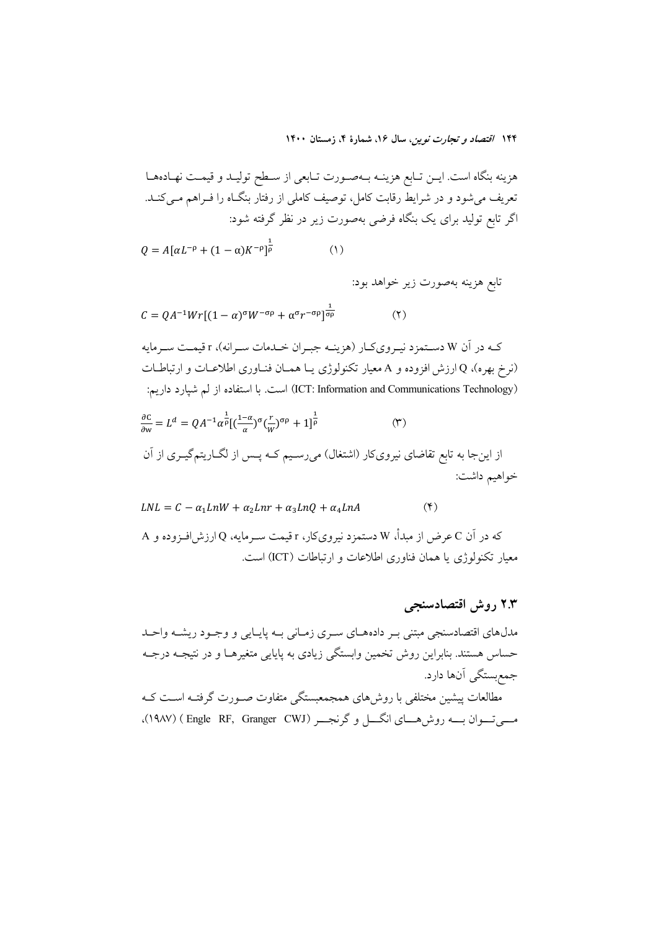هزينه بنگاه است. ايـن تـابع هزينــه بــهصـورت تـابعي از ســطح توليــد و قيمــت نهــادههــا تعریف می شود و در شرایط رقابت کامل، توصیف کاملی از رفتار بنگIه را فــراهم مــیکنــد. اگر تابع تولید برای یک بنگاه فرضی بهصورت زیر در نظر گرفته شود:

$$
Q = A[\alpha L^{-\rho} + (1 - \alpha)K^{-\rho}]^{\frac{1}{\rho}}
$$
 (1)

تابع هزينه بهصورت زير خواهد بود:

$$
C = QA^{-1}Wr[(1-\alpha)^{\sigma}W^{-\sigma\rho} + \alpha^{\sigma}r^{-\sigma\rho}]^{\frac{1}{\sigma\rho}}
$$
 (1)

کـه در آن W دسـتمزد نيـرويکـار (هزينـه جيـران خـلـدمات سـرانه)، r قيمـت سـرمايه (نرخ بهره)، Q ارزش افزوده و A معیار تکنولوژی یـا همـان فنـاوری اطلاعـات و ارتباطـات (ICT: Information and Communications Technology) است. با استفاده از لم شبارد داریم:

$$
\frac{\partial c}{\partial w} = L^{d} = QA^{-1} \alpha^{\frac{1}{p}} [(\frac{1-\alpha}{\alpha})^{\sigma} (\frac{r}{W})^{\sigma p} + 1]^{\frac{1}{p}}
$$
 (۳)  
از اینجا به تابع تقاضای نیرویکار (اشتغل) میرسیم کـه پس از لگاریتم گیروی از آن  
خواهیم داشت:

$$
LNL = C - \alpha_1 LnW + \alpha_2 Lnr + \alpha_3 LnQ + \alpha_4 LnA \tag{5}
$$

که در آن C عرض از مبدأ، W دستمزد نیرویکار، r قیمت سـرمایه، Q ارزش|فـزوده و A معیار تکنولوژی یا همان فناوری اطلاعات و ارتباطات (ICT) است.

۲.۳ روش اقتصادسنجی مدلهای اقتصادسنجی مبتنی بـر دادههـای سـری زمـانی بـه پایـایی و وجـود ریشـه واحـد حساس هستند. بنابراین روش تخمین وابستگی زیادی به پایایی متغیرهـا و در نتیجـه درجـه جمع بستگي آنها دارد. مطالعات پیشین مختلفی با روش،ای همجمعبستگی متفاوت صـورت گرفتـه اسـت کـه مبے تسوان سبہ روش ہسای انگسل و گرنجسے (Engle RF, Granger CWJ)، (۱۹۸۷)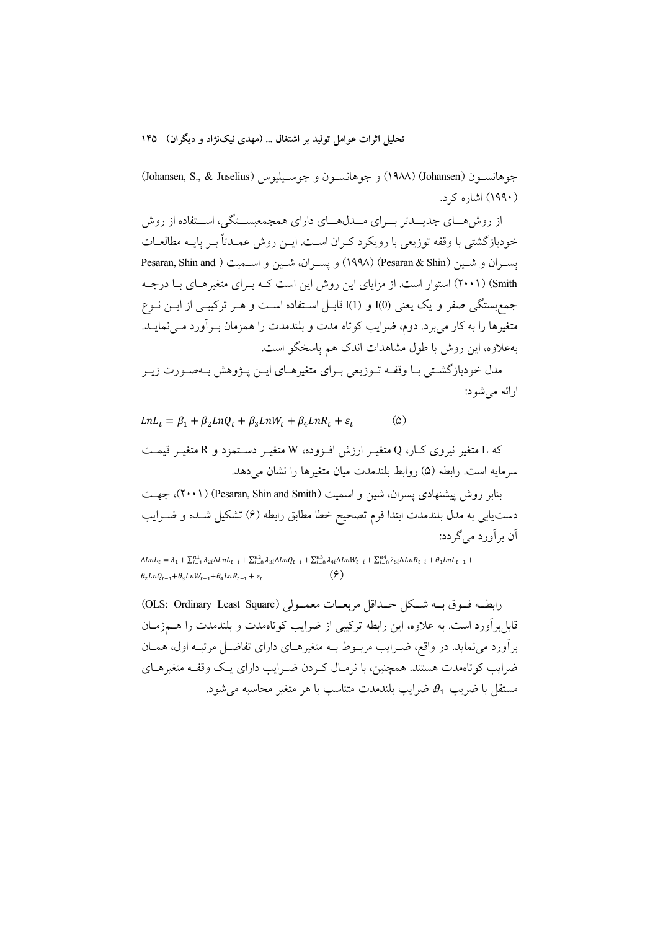تحلیل اثرات عوامل تولید بر اشتغال … (مهدی نیکنژاد و دیگران) ۱۴۵

جوهانسـون (Johansen, S., & Juselius) و جوهانسـون و جوسـيليوس (Johansen, S., & Juselius) (۱۹۹۰) اشاره کرد.

از روش هسای جدیسدتر بسرای مسدل هسای دارای همجمعیستگی، استفاده از روش خودبازگشتی با وقفه توزیعی با رویکرد کـران اسـت. ایــن روش عمــدتاً بــر پایــه مطالعــات يســران و شــين (Pesaran & Shin) (١٩٩٨) و يســران، شــين و اســميت ( Pesaran, Shin and Smith) (۲۰۰۱) استوار است. از مزایای این روش این است کـه بـرای متغیرهـای بـا درجـه جمع بستگی صفر و یک یعنی (0)I و I(1) قابـل اسـتفاده اسـت و هــر ترکیبــی از ایــن نــوع متغیرها را به کار میبرد. دوم، ضرایب کوتاه مدت و بلندمدت را همزمان بـرآورد مـینمایـد. بهعلاوه، این روش با طول مشاهدات اندک هم یاسخگو است.

مدل خودباز گشتی بـا وقفـه تـوزیعی بـرای متغیرهـای ایـن پـژوهش بـهصـورت زیـر ارائه می شود:

 $LnL_t = \beta_1 + \beta_2 LnQ_t + \beta_3 LnW_t + \beta_4 LnR_t + \varepsilon_t$  $\omega$ 

که L متغیر نیروی کـار، Q متغیــر ارزش افــزوده، W متغیــر دســتمزد و R متغیــر قیمــت سرمايه است. رابطه (۵) روابط بلندمدت ميان متغيرها را نشان مي دهد.

بنابر روش پیشنهادی یسران، شین و اسمیت (Pesaran, Shin and Smith) (۲۰۰۱)، جهت دست۱یبی به مدل بلندمدت ابتدا فرم تصحیح خطا مطابق رابطه (۶) تشکیل شــده و ضــرایب آن بر آورد می گردد:

 $\Delta LnL_t=\lambda_1+\textstyle\sum_{i=1}^{n1}\lambda_{2i}\Delta LnL_{t-i}+\textstyle\sum_{i=0}^{n2}\lambda_{3i}\Delta LnQ_{t-i}+\textstyle\sum_{i=0}^{n3}\lambda_{4i}\Delta LnW_{t-i}+\textstyle\sum_{i=0}^{n4}\lambda_{5i}\Delta LnR_{t-i}+\theta_1 LnL_{t-1}+\textstyle\sum_{i=0}^{n4}\lambda_{5i}\Delta LnR_{t-i}$  $(5)$  $\theta_2 LnQ_{t-1} + \theta_3 LnW_{t-1} + \theta_4 LnR_{t-1} + \varepsilon_t$ 

رابطــه فــوق بــه شــكل حــداقل مربعــات معمــولى (OLS: Ordinary Least Square) قابل بر آورد است. به علاوه، این رابطه ترکیبی از ضرایب کوتاهمدت و بلندمدت را هــمزمــان برآورد می نماید. در واقع، ضـرایب مربــوط بــه متغیرهــای دارای تفاضــل مرتبــه اول، همــان ضرایب کوتاهمدت هستند. همچنین، با نرمـال کـردن ضـرایب دارای یـک وقفـه متغیرهـای مستقل با ضريب  $\theta_1$ ، ضرايب بلندمدت متناسب با هر متغير محاسبه مي شود.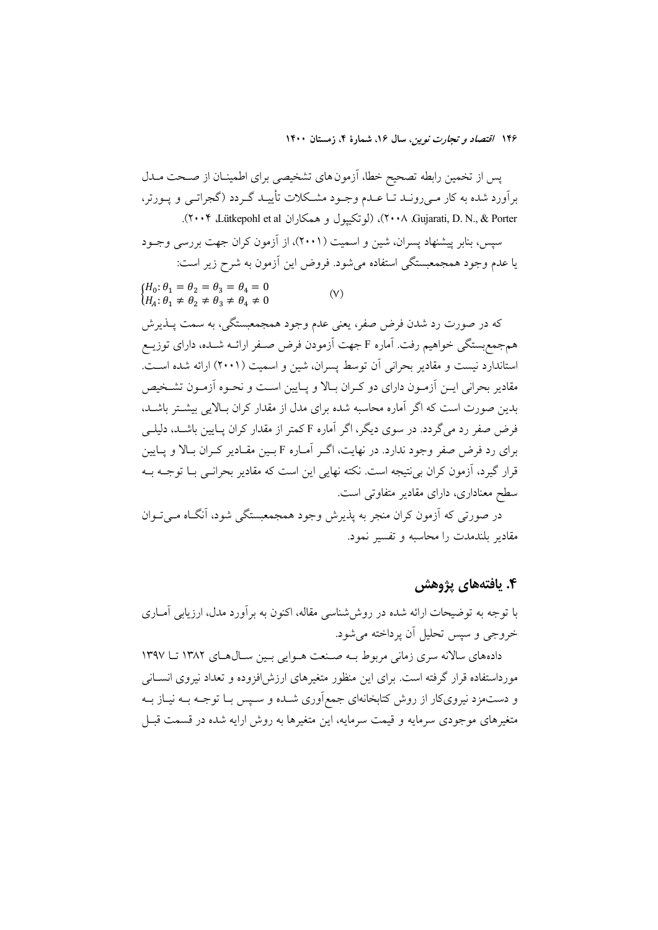پس از تخمین رابطه تصحیح خطا، آزمون های تشخیصی برای اطمینـان از صـحت مـدل برآورد شده به کار مـیرونــد تــا عــدم وجــود مشــکلات تأییــد گــردد (گجراتــی و یــورتر، ۲۰۰۴ ،Gujarati, D. N., & Porter)، (لوتكييول و همكاران U۰۰۴ ،Lütkepohl et al). سیس، بنابر پیشنهاد پسران، شین و اسمیت (۲۰۰۱)، از آزمون کران جهت بررسی وجـود یا عدم وجود همجمعبستگی استفاده میشود. فروض این اَزمون به شرح زیر است:  ${H_0: \theta_1 = \theta_2 = \theta_3 = \theta_4 = 0}$ <br>  ${H_A: \theta_1 \neq \theta_2 \neq \theta_3 \neq \theta_4 \neq 0}$  $(V)$ که در صورت رد شدن فرض صفر، یعنی عدم وجود همجمعبستگی، به سمت پــذیرش

همجمع بستگي خواهيم رفت. آماره F جهت آزمودن فرض صـفر ارائــه شــده، داراي توزيــع استاندارد نیست و مقادیر بحرانی آن توسط پسران، شین و اسمیت (۲۰۰۱) ارائه شده است. مقادیر بحرانی ایــن اَزمــون دارای دو کــران بــالا و پــایین اســت و نحــوه اَزمــون تشــخیص بدین صورت است که اگر آماره محاسبه شده برای مدل از مقدار کران بـالایی بیشــتر باشــد، فرض صفر رد می گردد. در سوی دیگر، اگر آماره F کمتر از مقدار کران پیایین باشید، دلیلی برای رد فرض صفر وجود ندارد. در نهایت، اگـر آمـاره F بـین مقـادیر کـران بـالا و پـایین قرار گیرد، آزمون کران بی نتیجه است. نکته نهایی این است که مقادیر بحرانـی بــا توجــه بــه سطح معناداری، دارای مقادیر متفاوتی است.

در صورتي که آزمون کړان منجر به پذيرش وجود همجمعبستگي شود، آنگIه مـي تـوان مقادير بلندمدت را محاسبه و تفسير نمود.

## ۴. يافتەهاي يژوهش

با توجه به توضیحات ارائه شده در روششناسی مقاله، اکنون به برآورد مدل، ارزیابی آمــاری خروجي و سپس تحليل اَن پرداخته مي شود.

دادههای سالانه سری زمانی مربوط بـه صـنعت هـوایی بـین سـالهـای ١٣٨٢ تـا ١٣٩٧ مورداستفاده قرار گرفته است. برای این منظور متغیرهای ارزش(فزوده و تعداد نیروی انسـانی و دستمزد نیرویکار از روش کتابخانهای جمعآوری شـده و سـپس بـا توجــه بــه نیــاز بــه متغیرهای موجودی سرمایه و قیمت سرمایه، این متغیرها به روش ارایه شده در قسمت قبـل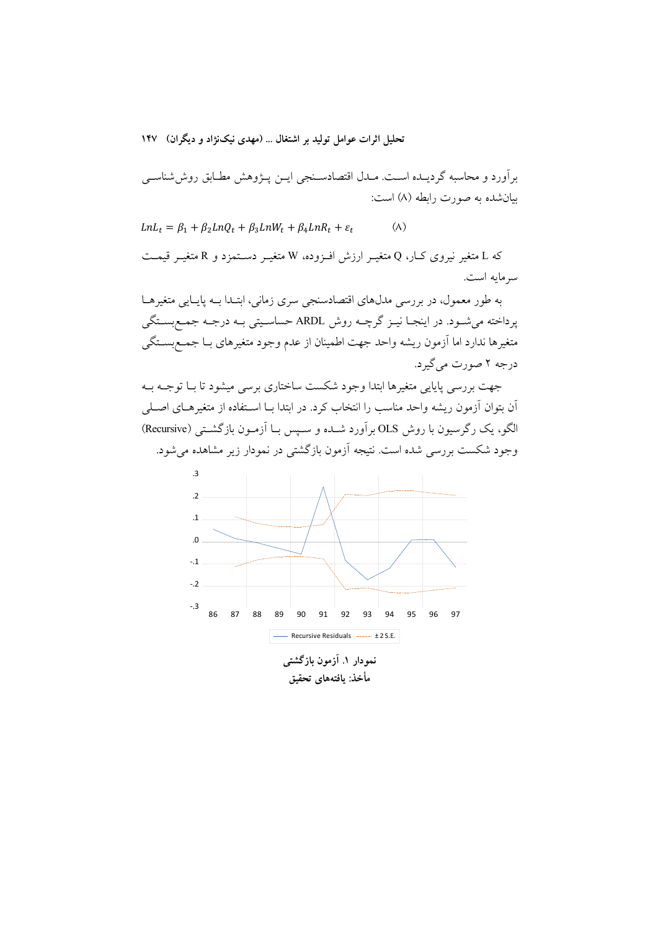تحلیل اثرات عوامل تولید بر اشتغال ... (مهدی نیکنژاد و دیگران) ۱۴۷

برآورد و محاسبه گردیــده اســت. مــدل اقتصادســنجی ایــن پــژوهش مطــابق روش(شناســی بيان شده به صورت رابطه (٨) است:

 $(\wedge)$  $LnL_t = \beta_1 + \beta_2 LnQ_t + \beta_3 LnW_t + \beta_4 LnR_t + \varepsilon_t$ 

که L متغیر نیروی کـار، Q متغیــر ارزش افــزوده، W متغیــر دســتمزد و R متغیــر قیمــت سر مايه است.

به طور معمول، در بررسی مدلهای اقتصادسنجی سری زمانی، ابتـدا بـه پایـایی متغیرهـا يرداخته مي شـود. در اينجــا نيــز گرچــه روش ARDL حساســيتي بــه درجــه جمــع بســتگي متغیرها ندارد اما آزمون ریشه واحد جهت اطمینان از عدم وجود متغیرهای بـا جمـع بســتگی درجه ۲ صورت مي گيرد.

جهت بررسی پایایی متغیرها ابتدا وجود شکست ساختاری برسی میشود تا بـا توجـه بـه آن بتوان أزمون ریشه واحد مناسب را انتخاب کرد. در ابتدا بــا اســتفاده از متغیرهــای اصــلی الگو، یک رگرسیون با روش OLS بر آورد شـده و سـیس بـا آزمـون بازگشـتی (Recursive) وجود شکست بررسی شده است. نتیجه آزمون بازگشتی در نمودار زیر مشاهده می شود.



مأخذ: بافتههای تحقیق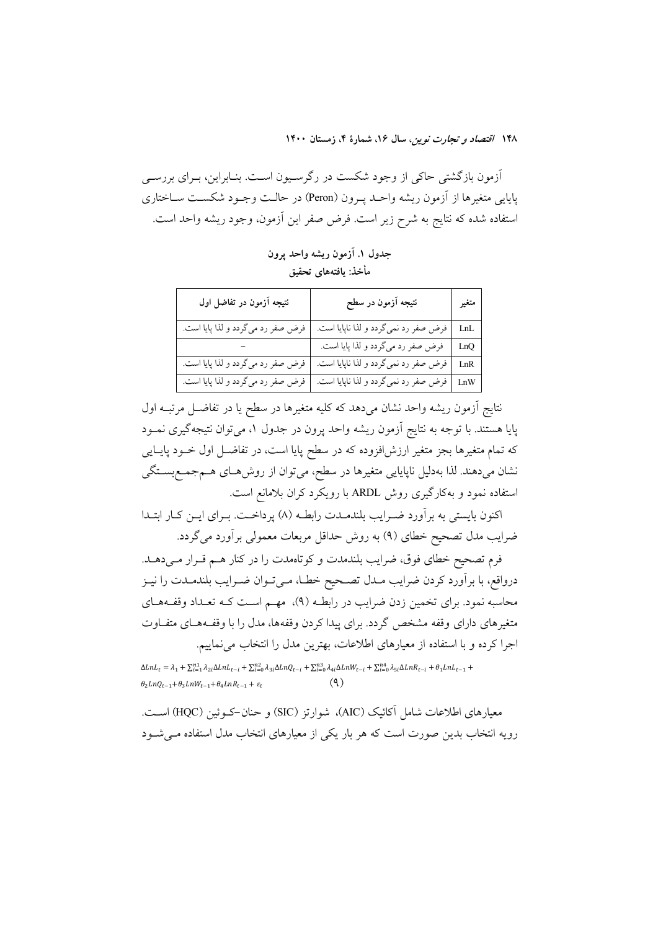آزمون بازگشتی حاکی از وجود شکست در رگرسـیون اسـت. بنـابراین، بـرای بررسـی پایایی متغیرها از آزمون ریشه واحـد پـرون (Peron) در حالـت وجـود شکسـت سـاختاری استفاده شده كه نتايج به شرح زير است. فرض صفر اين آزمون، وجود ريشه واحد است.

جدول ١. آزمون ريشه واحد يرون مأخذ: يافتههاى تحقيق

| نتیجه آزمون در تفاضل اول          | نتيجه آزمون در سطح                    | متغير |
|-----------------------------------|---------------------------------------|-------|
| فرض صفر رد میگردد و لذا پایا است. | فرض صفر رد نميگردد و لذا ناپايا است.  | LnL   |
|                                   | فرض صفر رد میگردد و لذا پایا است.     | LnQ   |
| فرض صفر رد میگردد و لذا پایا است. | فرض صفر رد نمي گردد و لذا ناپايا است. | LnR   |
| فرض صفر رد میگردد و لذا پایا است. | فرض صفر رد نميگردد و لذا ناپايا است.  | LnW   |

نتایج آزمون ریشه واحد نشان میدهد که کلیه متغیرها در سطح یا در تفاضـل مرتبــه اول پایا هستند. با توجه به نتایج اَزمون ریشه واحد پرون در جدول ۱، میتوان نتیجهگیری نمــود که تمام متغیرها بجز متغیر ارزش(فزوده که در سطح پایا است، در تفاضــل اول خــود پایــایی نشان میدهند. لذا بهدلیل ناپایایی متغیرها در سطح، میتوان از روش۵مای هـمجمـعبسـتگی استفاده نمود و بهکارگیری روش ARDL با رویکرد کران بلامانع است.

اکنون بایستی به برآورد ضـرایب بلندمـدت رابطـه (۸) پرداخــت. بـرای ایــن کــار ابتــدا ضرایب مدل تصحیح خطای (۹) به روش حداقل مربعات معمولی برآورد میگردد.

فرم تصحیح خطای فوق، ضرایب بلندمدت و کوتاهمدت را در کنار هم قـرار مـیدهـد. درواقع، با برأورد كردن ضرايب مـدل تصـحيح خطـا، مـىتـوان ضـرايب بلندمـدت را نيـز محاسبه نمود. برای تخمین زدن ضرایب در رابطـه (۹)، مهـم اسـت کـه تعـداد وقفـههـای متغیرهای دارای وقفه مشخص گردد. برای پیدا کردن وقفهها، مدل را با وقف4هـای متفـاوت اجرا کرده و با استفاده از معیارهای اطلاعات، بهترین مدل را انتخاب می نماییم.

 $\Delta LnL_t = \lambda_1 + \sum_{i=1}^{n_1} \lambda_{2i} \Delta LnL_{t-i} + \sum_{i=0}^{n_2} \lambda_{3i} \Delta LnQ_{t-i} + \sum_{i=0}^{n_3} \lambda_{4i} \Delta LnW_{t-i} + \sum_{i=0}^{n_4} \lambda_{5i} \Delta LnR_{t-i} + \theta_1 LnL_{t-1} + \theta_2$  $\theta_2 LnQ_{t-1} + \theta_3 LnW_{t-1} + \theta_4 LnR_{t-1} + \varepsilon_t$ 

معیارهای اطلاعات شامل آکائیک (AIC)، شوارتز (SIC) و حنان-کــوئین (HQC) اســت. رویه انتخاب بدین صورت است که هر بار یکی از معیارهای انتخاب مدل استفاده می شـود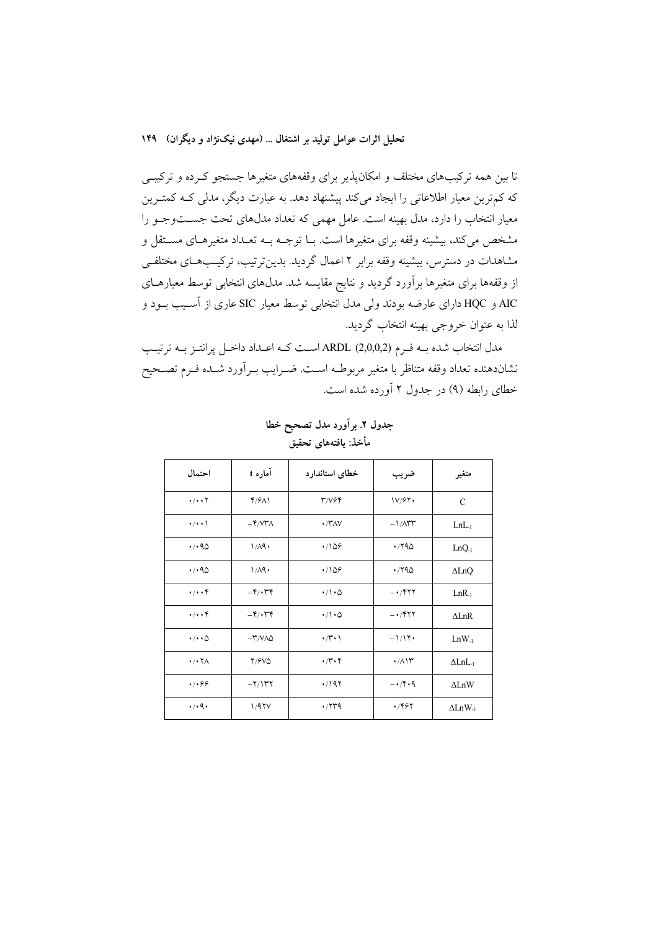تا بین همه ترکیبهای مختلف و امکانپذیر برای وقفههای متغیرها جستجو کـرده و ترکیبـی که کمترین معیار اطلاعاتی را ایجاد میکند پیشنهاد دهد. به عبارت دیگر، مدلی کـه کمتـرین معیار انتخاب را دارد، مدل بهینه است. عامل مهمی که تعداد مدلهای تحت جســتوجـو را مشخص می کند، بیشینه وقفه برای متغیرها است. بــا توجــه بــه تعــداد متغیرهــای مســتقل و مشاهدات در دسترس، بیشینه وقفه برابر ۲ اعمال گردید. بدین ترتیب، ترکیـبهـای مختلفـی از وقفهها برای متغیرها برآورد گردید و نتایج مقایسه شد. مدلهای انتخابی توسط معیارهـای AIC و HQC دارای عارضه بودند ولی مدل انتخابی توسط معیار SIC عاری از آسـیب بـود و لذا به عنوان خروجي بهينه انتخاب گرديد.

مدل انتخاب شده بـه فـرم ARDL (2,0,0,2) اسـت كـه اعـداد داخـل پرانتـز بـه ترتيـب نشاندهنده تعداد وقفه متناظر با متغير مربوطـه اسـت. ضـرايب بـراَورد شـده فـرم تصـحيح خطای رابطه (۹) در جدول ۲ آورده شده است.

| احتمال                                | آماره t                                      | خطاى استاندارد              | ضريب                                  | متغير                      |
|---------------------------------------|----------------------------------------------|-----------------------------|---------------------------------------|----------------------------|
| $\cdot/\cdot\cdot$ $\Upsilon$         | Y/9                                          | $T/V$ ۶۴                    | 1V/F                                  | C                          |
| $\cdot/\cdot\cdot$                    | $-\mathfrak{r}$ / $\mathfrak{r}$ a $\lambda$ | $\cdot$ / $\gamma$ / $\vee$ | $-1/\Lambda$                          | LnL <sub>1</sub>           |
| $\cdot$ / $\cdot$ 90                  | 1/A9.                                        | .709                        | ۱٬۲۹۵                                 | $LnQ-1$                    |
| $\cdot$ / $\cdot$ 90                  | 1/A9.                                        | .709                        | .790                                  | $\Delta$ LnQ               |
| $\cdot/\cdot\cdot$ ۴                  | $-\mathfrak{r}/\mathfrak{r}$                 | $\cdot/\cdot$ $\circ$       | $- \cdot$ /۴۲۲                        | LnR <sub>1</sub>           |
| $\cdot/\cdot\cdot$ ۴                  | $-\mathfrak{r}/\mathfrak{r}$                 | $\cdot/\cdot$ $\circ$       | $- \cdot$ /۴۲۲                        | $\Delta$ LnR               |
| $\cdot/\cdot\cdot$ $\circ$            | $-\mathsf{r}'/\mathsf{V}\Lambda\mathsf{O}$   | $\cdot$ / $\cdot$ )         | $-1/1$ ۴۰                             | $LnW-1$                    |
| $\cdot$ / $\cdot$ $\uparrow$ $\wedge$ | 7/9VQ                                        | $\cdot \pi \cdot r$         | $\cdot$ /1) $\tau$                    | $\Delta LnL_1$             |
| .4.99                                 | $-\frac{1}{\pi}$                             | $\cdot$ /197                | $-1$ $\uparrow$ $\uparrow$ $\uparrow$ | $\Delta$ LnW               |
| $\cdot$ / $\cdot$ 9 $\cdot$           | 1/97V                                        | $\cdot$ /۲۳۹                | ۰/۴۶۲                                 | $\Delta$ LnW <sub>-1</sub> |

جدول ٢. برآورد مدل تصحيح خطا مأخذ: يافتههاى تحقيق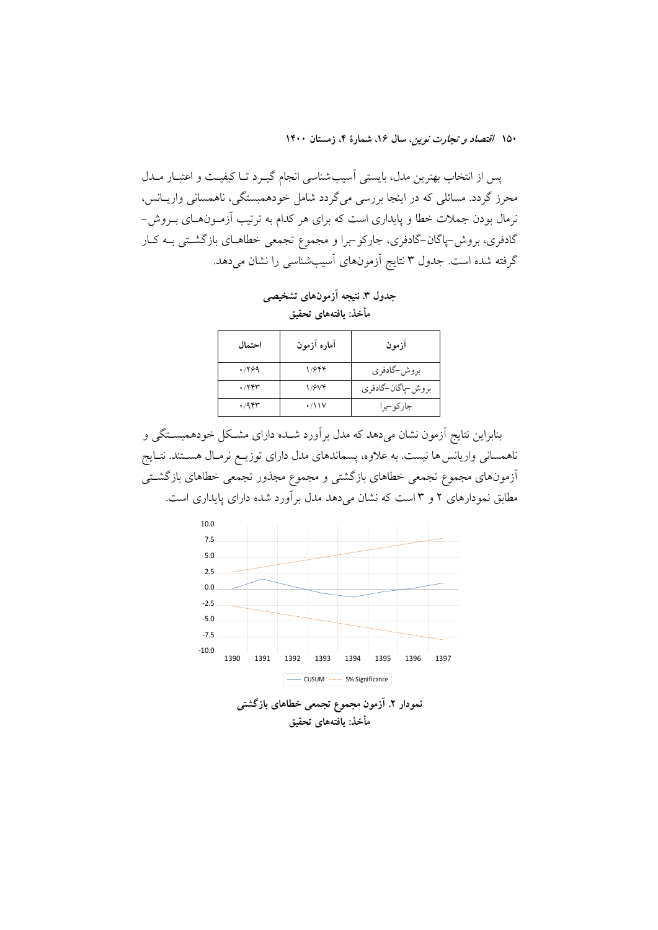پس از انتخاب بهترین مدل، بایستی آسیبشناسی انجام گیـرد تـا کیفیـت و اعتبـار مــدل محرز گردد. مسائلی که در اینجا بررسی میگردد شامل خودهمبستگی، ناهمسانی واریــانس، نرمال بودن جملات خطا و پایداری است که برای هر کدام به ترتیب آزمـونهـای بـروش-گادفری، بروش-پاگان-گادفری، جارکو-برا و مجموع تجمعی خطاهـای بازگشـتی بـه کـار گرفته شده است. جدول ۳ نتایج آزمونهای آسیبشناسی را نشان میدهد.

احتمال آماره آزمون آزمون  $.799$  $1/944$ بروش-گادفری  $\cdot$ /٢۴٣  $1/9Vf$ بروش-پاگان-گادفري  $.47$  $\cdot$ /\\\ جاركوجرا

جدول ٣. نتيجه آزمونهاي تشخيصي مأخذ: بافتههای تحقیق

بنابراین نتایج آزمون نشان میدهد که مدل برآورد شــده دارای مشــکل خودهمبســتگی و ناهمسانی واریانس ها نیست. به علاوه، پسماندهای مدل دارای توزیـع نرمـال هسـتند. نتـایج أزمونهاي مجموع تجمعي خطاهاي بازگشتي و مجموع مجذور تجمعي خطاهاي بازگشـتي مطابق نمودارهای ۲ و ۳ است که نشان می دهد مدل بر آورد شده دارای پایداری است.

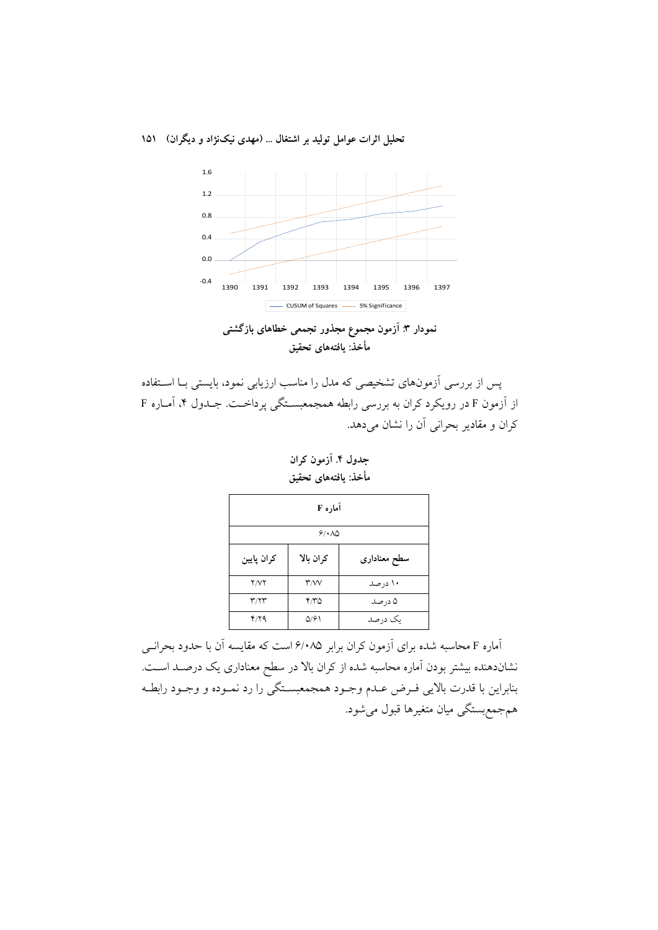تحليل اثرات عوامل توليد بر اشتغال ... (مهدي نيکنژاد و ديگران) ١٥١





پس از بررسی آزمونهای تشخیصی که مدل را مناسب ارزیابی نمود، بایستی بـا اسـتفاده از آزمون F در رویکرد کران به بررسی رابطه همجمعبستگی پرداخت. جـدول ۴، آمـاره F كران و مقادير بحراني آن را نشان مي دهد.

جدول ۴. آزمون کران مأخذ: يافتههاى تحقيق

| آماره F     |                                  |              |  |  |  |
|-------------|----------------------------------|--------------|--|--|--|
| 9/10        |                                  |              |  |  |  |
| كران پايين  | كران بالا                        | سطح معنادارى |  |  |  |
| <b>Y/VY</b> | $\mathsf{r}\mathsf{w}\mathsf{v}$ | ۱۰ در صد     |  |  |  |
| ۳/۲۳        | ۳٬۳۵                             | ۵ در صد      |  |  |  |
| 4/79        | ۵/۶۱                             | یک در صد     |  |  |  |

آماره F محاسبه شده برای آزمون کران برابر ۶/۰۸۵ است که مقایسه آن با حدود بحرانــی نشاندهنده بیشتر بودن آماره محاسبه شده از کران بالا در سطح معناداری یک درصـد اسـت. بنابراین با قدرت بالایی فـرض عـدم وجـود همجمعبسـتگی را رد نمـوده و وجـود رابطـه همجمع بستگي ميان متغيرها قبول مي شود.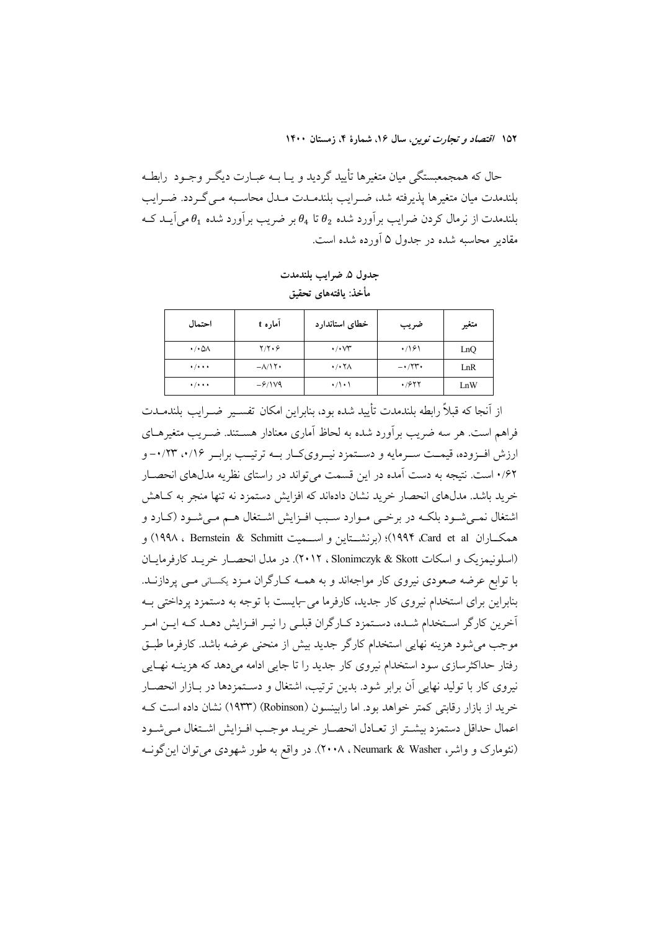حال که همجمعبستگی میان متغیرها تأیید گردید و یـا بــه عبــارت دیگــر وجــود رابطــه بلندمدت میان متغیرها پذیرفته شد، ضـرایب بلندمــدت مــدل محاســبه مــی گــردد. ضــرایب بلندمدت از نرمال کردن ضرایب برآورد شده و $\theta_2$  تا  $\theta_4$  بر ضریب برآورد شده  $\theta_1$  می $\vec{b}$ یـد کــه مقادیر محاسبه شده در جدول ۵ آورده شده است.

جدول ۵ ضرایب بلندمدت مأخذ: يافتههاى تحقيق

| احتمال                            | آماره t                  | خطاى استاندارد                        | ضريب                        | متغير |
|-----------------------------------|--------------------------|---------------------------------------|-----------------------------|-------|
| $\cdot$ / $\cdot$ $\Delta\Lambda$ | $Y/Y\cdot Y$             | $\cdot/\cdot\vee\tau$                 | .791                        | LnQ   |
| $\cdot$ / $\cdot$ + $\cdot$       | $-\lambda/\lambda$       | $\cdot$ / $\cdot$ $\uparrow$ $\wedge$ | $ \cdot$ $/ \nabla$ $\cdot$ | LnR   |
| $\cdot$ / $\cdot$ + $\cdot$       | $-\frac{\mathcal{S}}{N}$ | $\cdot/\rangle \cdot \rangle$         | $\cdot$ /977                | LnW   |

از آنجا که قبلاً رابطه بلندمدت تأیید شده بود، بنابراین امکان تفسـیر ضـرایب بلندمــدت فراهم است. هر سه ضریب برآورد شده به لحاظ آماری معنادار هسـتند. ضـریب متغیرهــای ارزش اف وده، قیمت سـرمایه و دسـتمزد نیـرویکـار بــه ترتیـب برابـر ۰/۱۶، ۰/۲۳ ۰/۶۲ است. نتیجه به دست آمده در این قسمت می تواند در راستای نظریه مدلهای انحصـار خرید باشد. مدلهای انحصار خرید نشان دادهاند که افزایش دستمزد نه تنها منجر به کـاهش اشتغال نمـیشـود بلکـه در برخـی مـوارد سـبب افـزایش اشـتغال هـم مـیشـود (کـارد و همكساران Card et al)؛ (برنشستاين و اســميت Schmitt & Schmitt ) و 199۸، ۱۹۹۸) (اسلونيمزيک و اسكات Slonimczyk & Skott ، ٢٠١٢). در مدل انحصـار خريـد كارفرمايـان با توابع عرضه صعودی نیروی کار مواجهاند و به همـه کـارگران مـزد یکسـانی مـی پردازنــد. بنابراین برای استخدام نیروی کار جدید، کارفرما می-بایست با توجه به دستمزد پرداختی بـه آخرین کارگر استخدام شـده، دسـتمزد کـارگران قبلـی را نیـر افـزایش دهـد کـه ایـن امـر موجب می شود هزینه نهایی استخدام کارگر جدید بیش از منحنی عرضه باشد. کارفرما طبـق رفتار حداکثرسازی سود استخدام نیروی کار جدید را تا جایی ادامه می دهد که هزینــه نهــایی نیروی کار با تولید نهایی اَن برابر شود. بدین ترتیب، اشتغال و دسـتمزدها در بــازار انحصــار خرید از بازار رقابتی کمتر خواهد بود. اما رایبنسون (Robinson) (۱۹۳۳) نشان داده است ک اعمال حداقل دستمزد بيشتر از تعبادل انحصبار خريبد موجب افيزايش اشتغال مى شبود (نئومارک و واشر، Neumark & Washer ، ۲۰۰۸). در واقع به طور شهودی می توان این گونـه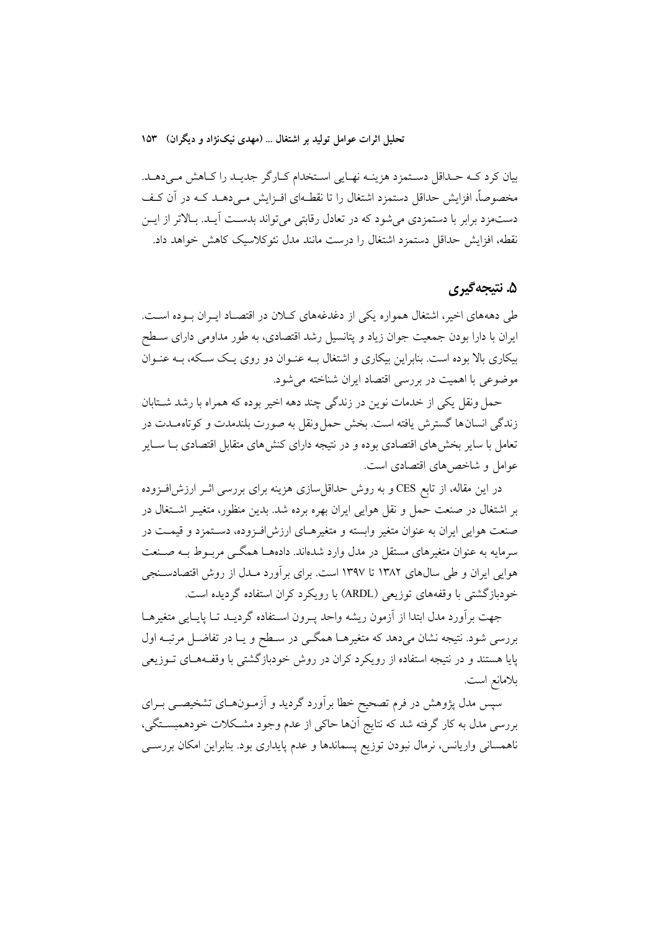بیان کرد کـه حـداقل دسـتمزد هزینـه نهـایی اسـتخدام کـارگر جدیـد را کـاهش مـیدهـد. مخصوصاً، افزایش حداقل دستمزد اشتغال را تا نقطـهای افـزایش مـی،دهـد کـه در آن کـف دستمزد برابر با دستمزدی میشود که در تعادل رقابتی میتواند بدست آیـد. بـالاتر از ایـن نقطه، افزایش حداقل دستمزد اشتغال را درست مانند مدل نئوکلاسیک کاهش خواهد داد.

## ۵. نتيجه گيري

طی دهههای اخیر، اشتغال همواره یکی از دغدغههای کـلان در اقتصـاد ایـران بـوده اسـت. ایران با دارا بودن جمعیت جوان زیاد و پتانسیل رشد اقتصادی، به طور مداومی دارای سطح بیکاری بالا بوده است. بنابراین بیکاری و اشتغال بـه عنـوان دو روی یـک سـکه، بـه عنـوان موضوعی با اهمیت در بررسی اقتصاد ایران شناخته می شود.

حمل ونقل یکی از خدمات نوین در زندگی چند دهه اخیر بوده که همراه با رشد شـتابان زندگی انسانها گسترش یافته است. بخش حمل ونقل به صورت بلندمدت و کوتاه مدت در تعامل با سایر بخش های اقتصادی بوده و در نتیجه دارای کنش های متقابل اقتصادی بـا ســایر عوامل و شاخص های اقتصادی است.

در این مقاله، از تابع CES و به روش حداقل سازی هزینه برای بررسی اثـر ارزش|فـزوده بر اشتغال در صنعت حمل و نقل هوایی ایران بهره برده شد. بدین منظور، متغیـر اشـتغال در صنعت هوايي ايران به عنوان متغير وابسته و متغيرهـاي ارزشافـزوده، دسـتمزد و قيمـت در سرمایه به عنوان متغیرهای مستقل در مدل وارد شدهاند. دادهها همگــی مربــوط بــه صــنعت هوایی ایران و طی سال@ای ۱۳۸۲ تا ۱۳۹۷ است. برای بر اَورد مــدل از روش اقتصادســنجی خودبازگشتی با وقفههای توزیعی (ARDL) با رویکرد کران استفاده گردیده است.

جهت برأورد مدل ابتدا از أزمون ريشه واحد يـرون اسـتفاده گرديـد تـا يايـايي متغيرهـا بررسی شود. نتیجه نشان میدهد که متغیرهـا همگـی در سـطح و یـا در تفاضـل مرتبـه اول پایا هستند و در نتیجه استفاده از رویکرد کران در روش خودبازگشتی با وقف4هـای تــوزیعی بلامانع است.

سپس مدل پژوهش در فرم تصحیح خطا برآورد گردید و آزمـونهـای تشخیصــی بــرای بررسی مدل به کار گرفته شد که نتایج آنها حاکی از عدم وجود مشکلات خودهمبسـتگی، ناهمسانی واریانس، نرمال نبودن توزیع پسماندها و عدم پایداری بود. بنابراین امکان بررســی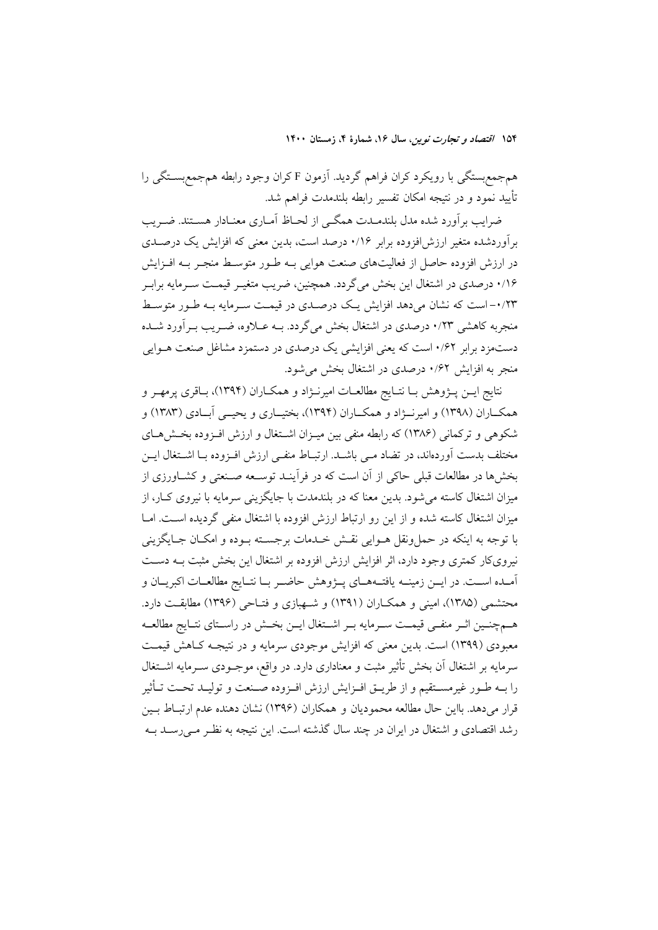همجمع بستگی با رویکرد کران فراهم گردید. آزمون F کران وجود رابطه همجمع بستگی را تأييد نمود و در نتيجه امكان تفسير رابطه بلندمدت فراهم شد.

ضرایب بر آورد شده مدل بلندمــدت همگــی از لحــاظ آمــاری معنــادار هســتند. ضــریب برآوردشده متغیر ارزش افزوده برابر ۰/۱۶ درصد است، بدین معنی که افزایش یک درصـدی در ارزش افزوده حاصل از فعالیتهای صنعت هوایی بـه طـور متوسـط منجـر بـه افـزایش ۱/۶. درصدی در اشتغال این بخش میگردد. همچنین، ضریب متغیـر قیمـت سـرمایه برابـر ۰/۲۳-است که نشان میدهد افزایش یک درصـدی در قیمـت سـرمایه بـه طـور متوسـط منجربه کاهشی ۰/۲۳ درصدی در اشتغال بخش میگردد. بـه عــلاوه، ضــریب بــرآورد شــده دستمزد برابر ۰/۶۲ است که یعنی افزایشی یک درصدی در دستمزد مشاغل صنعت هــوایی منجر به افزایش ۰/۶۲ درصدی در اشتغال بخش می شود.

نتايج ايــن پـــژوهش بــا نتــايج مطالعــات اميرنـــژاد و همكــاران (١٣٩۴)، بــاقرى پرمهــر و همکــاران (۱۳۹۸) و امیرنـــژاد و همکــاران (۱۳۹۴)، بختیــاری و یحیـــی اَبــادی (۱۳۸۳) و شکوهی و ترکمانی (۱۳۸۶) که رابطه منفی بین میـزان اشـتغال و ارزش افـزوده بخـشهـای مختلف بدست آوردهاند، در تضاد مـی باشـد. ارتبـاط منفـی ارزش افـزوده بـا اشـتغال ایــن بخشها در مطالعات قبلی حاکی از آن است که در فرآینـد توســعه صـنعتی و کشــاورزی از میزان اشتغال کاسته می شود. بدین معنا که در بلندمدت با جایگزینی سرمایه با نیروی کــار، از میزان اشتغال کاسته شده و از این رو ارتباط ارزش افزوده با اشتغال منفی گردیده است. امــا با توجه به اینکه در حمل ونقل هــوایی نقــش خــدمات برجســته بــوده و امکــان جــایگزینی نیرویکار کمتری وجود دارد، اثر افزایش ارزش افزوده بر اشتغال این بخش مثبت بــه دســت اّمـده اســت. در ايــن زمينــه يافتــههــاي پــژوهش حاضــر بــا نتــايج مطالعــات اكبريــان و محتشمی (۱۳۸۵)، امینی و همکـاران (۱۳۹۱) و شـهبازی و فتـاحی (۱۳۹۶) مطابقـت دارد. هـمچنـین اثـر منفـی قیمـت سـرمایه بـر اشـتغال ایـن بخـش در راسـتای نتـایج مطالعـه معبودی (۱۳۹۹) است. بدین معنی که افزایش موجودی سرمایه و در نتیجـه کــاهش قیمــت سرمایه بر اشتغال آن بخش تأثیر مثبت و معناداری دارد. در واقع، موجــودی ســرمایه اشــتغال را بــه طــور غيرمســتقيم و از طريــق افــزايش ارزش افــزوده صــنعت و توليــد تحــت تــأثير قرار میدهد. بااین حال مطالعه محمودیان و همکاران (۱۳۹۶) نشان دهنده عدم ارتباط بـین رشد اقتصادی و اشتغال در ایران در چند سال گذشته است. این نتیجه به نظـر مـی(سـد بـه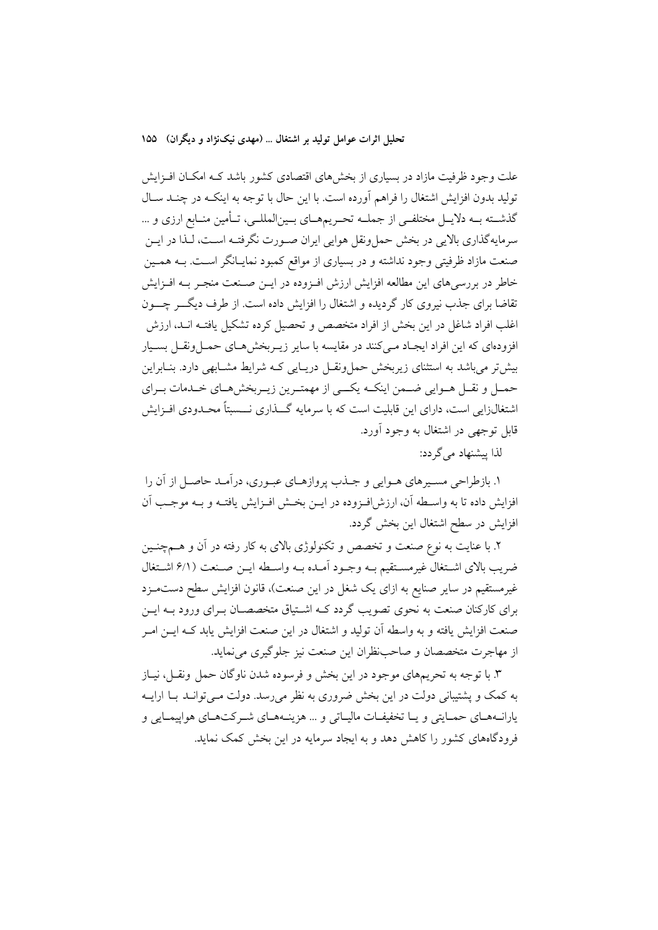تحليل اثرات عوامل توليد بر اشتغال ... (مهدي نيکنژاد و ديگران) ۱۵۵

علت وجود ظرفیت مازاد در بسیاری از بخش های اقتصادی کشور باشد کـه امکـان افـزایش تولید بدون افزایش اشتغال را فراهم آورده است. با این حال با توجه به اینکـه در چنـد سـال گذشــته بــه دلايــل مختلفــي از جملــه تحـريمهــاي بــينالمللــي، تــأمين منــابع ارزي و ... سرمايه گذاري بالايي در بخش حمل ونقل هوايي ايران صـورت نگرفتـه اسـت، لـذا در ايــن صنعت مازاد ظرفیتی وجود نداشته و در بسیاری از مواقع کمبود نمایــانگر اســت. بــه همــین خاطر در بررسیهای این مطالعه افزایش ارزش افـزوده در ایــن صـنعت منجـر بــه افــزایش تقاضا برای جذب نیروی کار گردیده و اشتغال را افزایش داده است. از طرف دیگــر چـــون اغلب افراد شاغل در این بخش از افراد متخصص و تحصیل کرده تشکیل یافتـه انــد، ارزش افزودهای که این افراد ایجـاد مـیکنند در مقایسه با سایر زیــربخشهـای حمــلونقــل بســیار بیش تر می باشد به استثنای زیربخش حمل ونقــل دریــایی کــه شرایط مشــابهی دارد. بنــابراین حمـل و نقـل هـوايي ضـمن اينكــه يكـــي از مهمتـرين زيــربخشهــاي خــدمات بــراي اشتغالزایی است، دارای این قابلیت است که با سرمایه گـــذاری نـــسبتاً محــدودی افــزایش قابل توجهي در اشتغال به وجود آورد.

لذا يبشنهاد مي گردد:

۱. بازطراحی مسـیرهای هـوایی و جـذب پروازهـای عبـوری، درآمـد حاصـل از آن را افزايش داده تا به واسـطه آن، ارزش|فـزوده در ايــن بخـش افــزايش يافتــه و بــه موجـب آن افزایش در سطح اشتغال این بخش گردد.

۲. با عنایت به نوع صنعت و تخصص و تکنولوژی بالای به کار رفته در آن و هــمچنــین ضريب بالاي اشتغال غيرمستقيم بـه وجـود أمـده بـه واسـطه ايــن صـنعت (۶/۱ اشـتغال غیرمستقیم در سایر صنایع به ازای یک شغل در این صنعت)، قانون افزایش سطح دستمـزد برای کارکنان صنعت به نحوی تصویب گردد کــه اشــتیاق متخصصــان بــرای ورود بــه ایــن صنعت افزايش يافته و به واسطه آن توليد و اشتغال در اين صنعت افزايش يابد كـه ايــن امــر از مهاجرت متخصصان و صاحب نظران این صنعت نیز جلوگیری می نماید.

۳. با توجه به تحریمهای موجود در این بخش و فرسوده شدن ناوگان حمل ونقـل، نیـاز به کمک و پشتیبانی دولت در این بخش ضروری به نظر می رسد. دولت مـی توانــد بــا ارایــه یارانــههـای حمـایتی و یــا تخفیفـات مالیــاتی و … هزینــههــای شــرکتهـای هواییمـایی و فرودگاههای کشور را کاهش دهد و به ایجاد سرمایه در این بخش کمک نماید.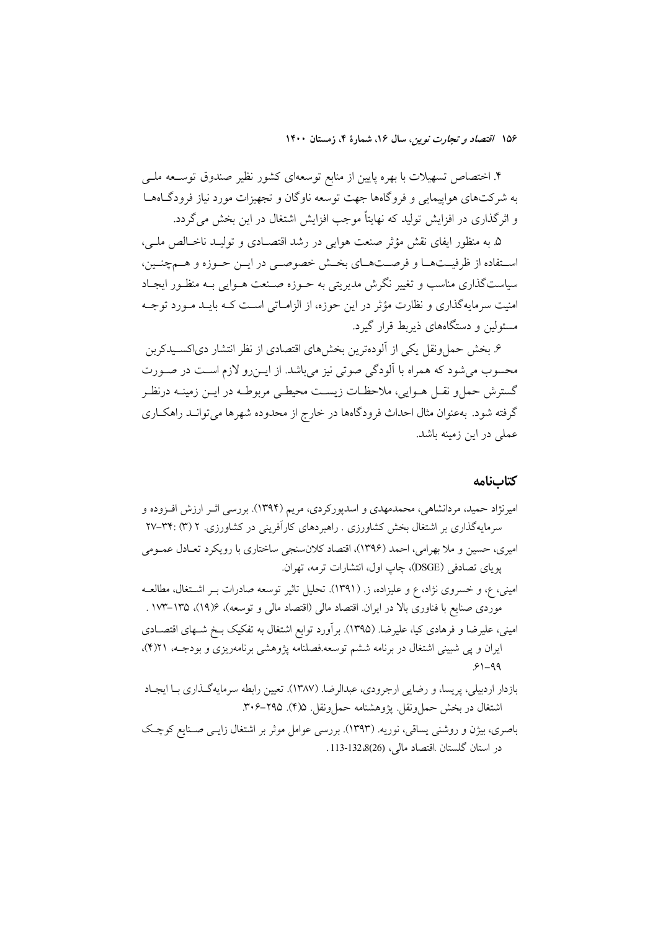۴. اختصاص تسهیلات با بهره پایین از منابع توسعهای کشور نظیر صندوق توســعه ملــی به شرکتهای هواپیمایی و فروگاهها جهت توسعه ناوگان و تجهیزات مورد نیاز فرودگـاههـا و اثرگذاری در افزایش تولید که نهایتاً موجب افزایش اشتغال در این بخش می گردد.

۵. به منظور ایفای نقش مؤثر صنعت هوایی در رشد اقتصـادی و تولیـد ناخـالص ملـی، استفاده از ظرفیـتهـا و فرصـتهـاى بخـش خصوصـى در ايـن حـوزه و هـمچنـين، سیاستگذاری مناسب و تغییر نگرش مدیریتی به حــوزه صــنعت هــوایی بــه منظــور ایجــاد امنیت سرمایهگذاری و نظارت مؤثر در این حوزه، از الزامـاتی اسـت کـه بایـد مـورد توجـه مسئولین و دستگاههای ذیربط قرار گیرد.

۶. بخش حملونقل یکی از اَلودهترین بخشهای اقتصادی از نظر انتشار دیاکسـیدکربن محسوب می شود که همراه با آلودگی صوتی نیز می باشد. از ایـن٫رو لازم اسـت در صـورت گسترش حمل و نقــل هــوايي، ملاحظــات زيســت محيطــي مربوطــه در ايــن زمينــه درنظــر گرفته شود. بهعنوان مثال احداث فرودگاهها در خارج از محدوده شهرها می توانـد راهکـاری عملی در این زمینه باشد.

#### كتابنامه

- امیرنژاد حمید، مردانشاهی، محمدمهدی و اسدپورکردی، مریم (۱۳۹۴). بررسی اثـر ارزش افــزوده و سرمایهگذاری بر اشتغال بخش کشاورزی . راهبردهای کارآفرینی در کشاورزی. ۲ (۳) :۳۴-۲۷ امیری، حسین و ملا بهرامی، احمد (۱۳۹۶)، اقتصاد کلانسنجی ساختاری با رویکرد تعـادل عمـومی یوپای تصادفی (DSGE)، چاپ اول، انتشارات ترمه، تهران.
- امینی، ع، و خسروی نژاد، ع و علیزاده، ز. (۱۳۹۱). تحلیل تاثیر توسعه صادرات بـر اشتغال، مطالعـه موردی صنایع با فناوری بالا در ایران اقتصاد مالی (اقتصاد مالی و توسعه)، ۱۳۵/۶، ۱۳۵–۱۷۳ .
- امینی، علیرضا و فرهادی کیا، علیرضا. (۱۳۹۵). برآورد توابع اشتغال به تفکیک بـخ شـهای اقتصـادی ایران و پی شبینی اشتغال در برنامه ششم توسعه.فصلنامه پژوهشی برنامهریزی و بودجـه، ۲۱(۴)،  $91 - 99$
- بازدار اردبيلي، پريسا، و رضايي ارجرودي، عبدالرضا. (١٣٨٧). تعيين رابطه سرمايهگذاري بـا ايجـاد اشتغال در بخش حمل ونقل. يژوهشنامه حمل ونقل ف(۴). ۲۹۵–۳۰۶.
- باصری، بیژن و روشنی یساقی، نوریه. (۱۳۹۳). بررسی عوامل موثر بر اشتغال زایـی صـنایع کوچـک در استان گلستان اقتصاد مالی، (26)132-113.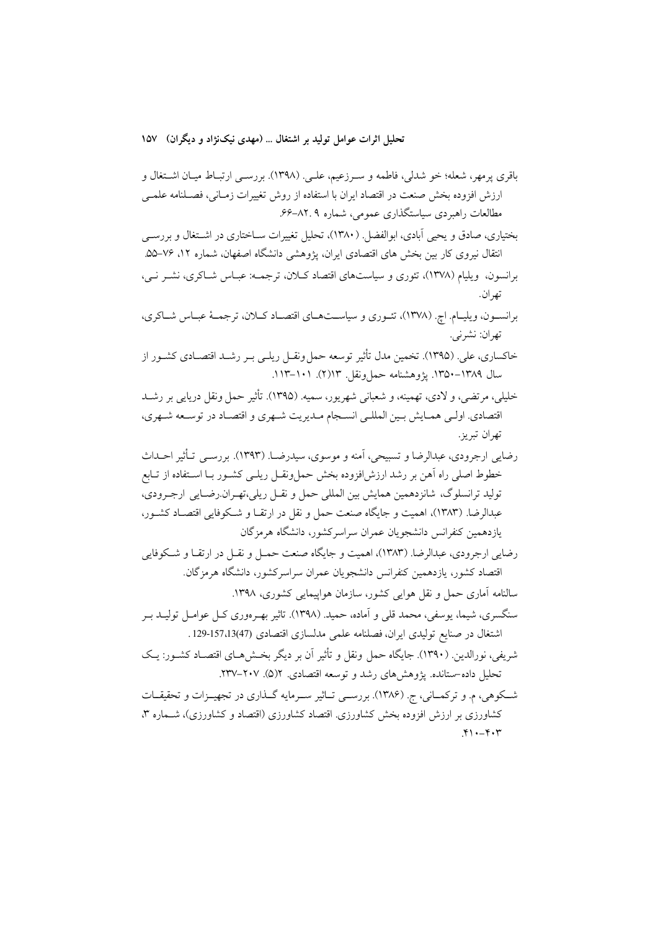باقري پرمهر، شعله؛ خو شدلي، فاطمه و سـرزعيم، علـي. (١٣٩٨). بررسـي ارتبــاط ميــان اشــتغال و ارزش افزوده بخش صنعت در اقتصاد ايران با استفاده از روش تغييرات زمـاني، فصـلنامه علمــى مطالعات راهبردی سیاستگذاری عمومی، شماره ۸۲.۹–۶۶.

بختیاری، صادق و یحیی آبادی، ابوالفضل (۱۳۸۰)، تحلیل تغییرات سـاختاری در اشـتغال و بررسـی انتقال نیروی کار بین بخش های اقتصادی ایران، پژوهشی دانشگاه اصفهان، شماره ۱۲، ۷۶–۵۵. برانسون، ویلیام (۱۳۷۸)، تئوری و سیاستهای اقتصاد کیلان، ترجمـه: عبیاس شباکری، نشـر نـی، تھ ان.

برانسـون، ويليـام. اچ. (١٣٧٨)، تئـوري و سياســتهـاي اقتصـاد كـلان، ترجمــهٔ عبـاس شــاكري، تهران: نشرني.

خاکساری، علی ِ (۱۳۹۵). تخمین مدل تأثیر توسعه حمل ونقــل ریلــی بــر رشــد اقتصــادی کشــور از سال ۱۳۸۹–۱۳۵۰. يژوهشنامه حمل ونقل ۱۱۳(۲). ۱۰۱–۱۱۳.

خليلي، مرتضى، و لادى، تهمينه، و شعباني شهريور، سميه. (١٣٩۵). تأثير حمل ونقل دريايي بر رشــد اقتصادي. اولـي همـايش بـين المللـي انسـجام مـديريت شـهري و اقتصـاد در توسـعه شـهري، تھران تيرين

رضايي ارجرودي، عبدالرضا و تسبيحي، آمنه و موسوي، سيدرضــا. (١٣٩٣). بررســي تــأثير احــداث خطوط اصلی راه آهن بر رشد ارزش(فزوده بخش حملونقـل ریلـی کشـور بـا اسـتفاده از تـابع توليد ترانسلوگ، شانزدهمين همايش بين المللي حمل و نقـل ريلي،تهـران.رضـايي ارجـرودي، عبدالرضا. (۱۳۸۳)، اهمیت و جایگاه صنعت حمل و نقل در ارتقـا و شـكوفایی اقتصـاد كشـور، یازدهمین کنفرانس دانشجویان عمران سراسرکشور، دانشگاه هرمزگان

رضايي ارجرودي، عبدالرضا. (١٣٨٣)، اهميت و جايگاه صنعت حمـل و نقـل در ارتقـا و شـكوفايي اقتصاد کشور، یازدهمین کنفرانس دانشجویان عمران سراسرکشور، دانشگاه هرمزگان.

سالنامه آماری حمل و نقل هوایی کشور، سازمان هواپیمایی کشوری، ۱۳۹۸. سنگسری، شیما، یوسفی، محمد قلبی و آماده، حمید. (۱۳۹۸). تاثیر بهـرهوری کــل عوامــل تولیــد بــر اشتغال در صنايع توليدي ايران، فصلنامه علمي مدلسازي اقتصادي (13/47-129.

- شريفي، نورالدين. (١٣٩٠). جايگاه حمل ونقل و تأثير آن بر ديگر بخــشهــاي اقتصــاد كشــور: يــک تحلیل داده-ستانده. یژوهش های رشد و توسعه اقتصادی. ۱(۵). ۲۰۷–۲۳۷.
- شـکوهی، م. و ترکمــانی، ج. (۱۳۸۶). بررســی تــاثیر ســرمایه گــذاری در تجهیــزات و تحقیقــات کشاورزی بر ارزش افزوده بخش کشاورزی. اقتصاد کشاورزی (اقتصاد و کشاورزی)، شـماره ۳،  $Y \cup -Y \cup Y$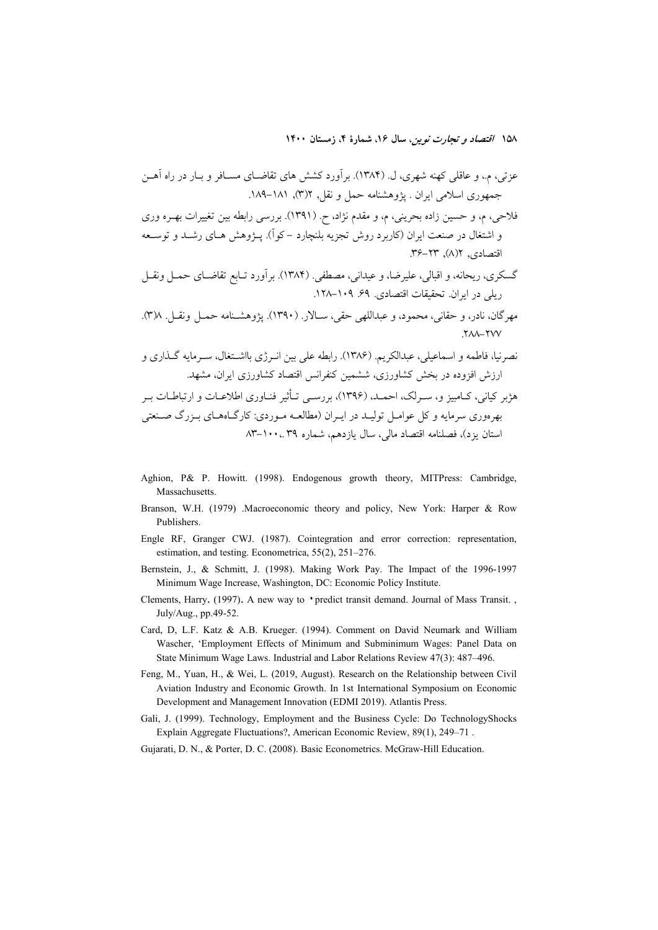- Aghion, P& P. Howitt. (1998). Endogenous growth theory, MITPress: Cambridge, Massachusetts.
- Branson, W.H. (1979) .Macroeconomic theory and policy, New York: Harper & Row Publishers.
- Engle RF, Granger CWJ. (1987). Cointegration and error correction: representation, estimation, and testing. Econometrica, 55(2), 251–276.
- Bernstein, J., & Schmitt, J. (1998). Making Work Pay. The Impact of the 1996-1997 Minimum Wage Increase, Washington, DC: Economic Policy Institute.
- Clements, Harry. (1997). A new way to 'predict transit demand. Journal of Mass Transit., July/Aug., pp.49-52.
- Card, D, L.F. Katz & A.B. Krueger. (1994). Comment on David Neumark and William Wascher, 'Employment Effects of Minimum and Subminimum Wages: Panel Data on State Minimum Wage Laws. Industrial and Labor Relations Review 47(3): 487-496.
- Feng, M., Yuan, H., & Wei, L. (2019, August). Research on the Relationship between Civil Aviation Industry and Economic Growth. In 1st International Symposium on Economic Development and Management Innovation (EDMI 2019). Atlantis Press.
- Gali, J. (1999). Technology, Employment and the Business Cycle: Do TechnologyShocks Explain Aggregate Fluctuations?, American Economic Review, 89(1), 249–71.
- Gujarati, D. N., & Porter, D. C. (2008). Basic Econometrics. McGraw-Hill Education.